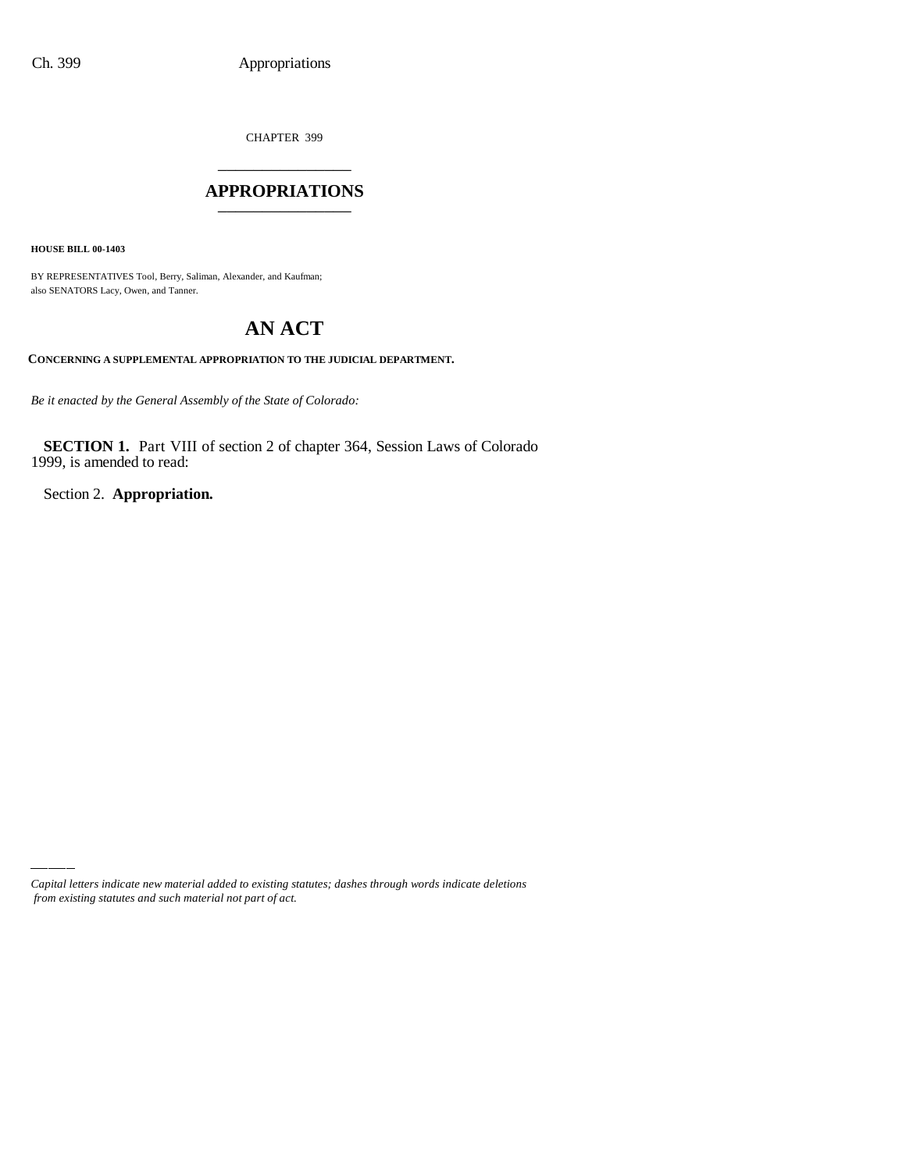CHAPTER 399 \_\_\_\_\_\_\_\_\_\_\_\_\_\_\_

### **APPROPRIATIONS** \_\_\_\_\_\_\_\_\_\_\_\_\_\_\_

**HOUSE BILL 00-1403**

BY REPRESENTATIVES Tool, Berry, Saliman, Alexander, and Kaufman; also SENATORS Lacy, Owen, and Tanner.

# **AN ACT**

#### **CONCERNING A SUPPLEMENTAL APPROPRIATION TO THE JUDICIAL DEPARTMENT.**

*Be it enacted by the General Assembly of the State of Colorado:*

**SECTION 1.** Part VIII of section 2 of chapter 364, Session Laws of Colorado 1999, is amended to read:

Section 2. **Appropriation.**

*Capital letters indicate new material added to existing statutes; dashes through words indicate deletions from existing statutes and such material not part of act.*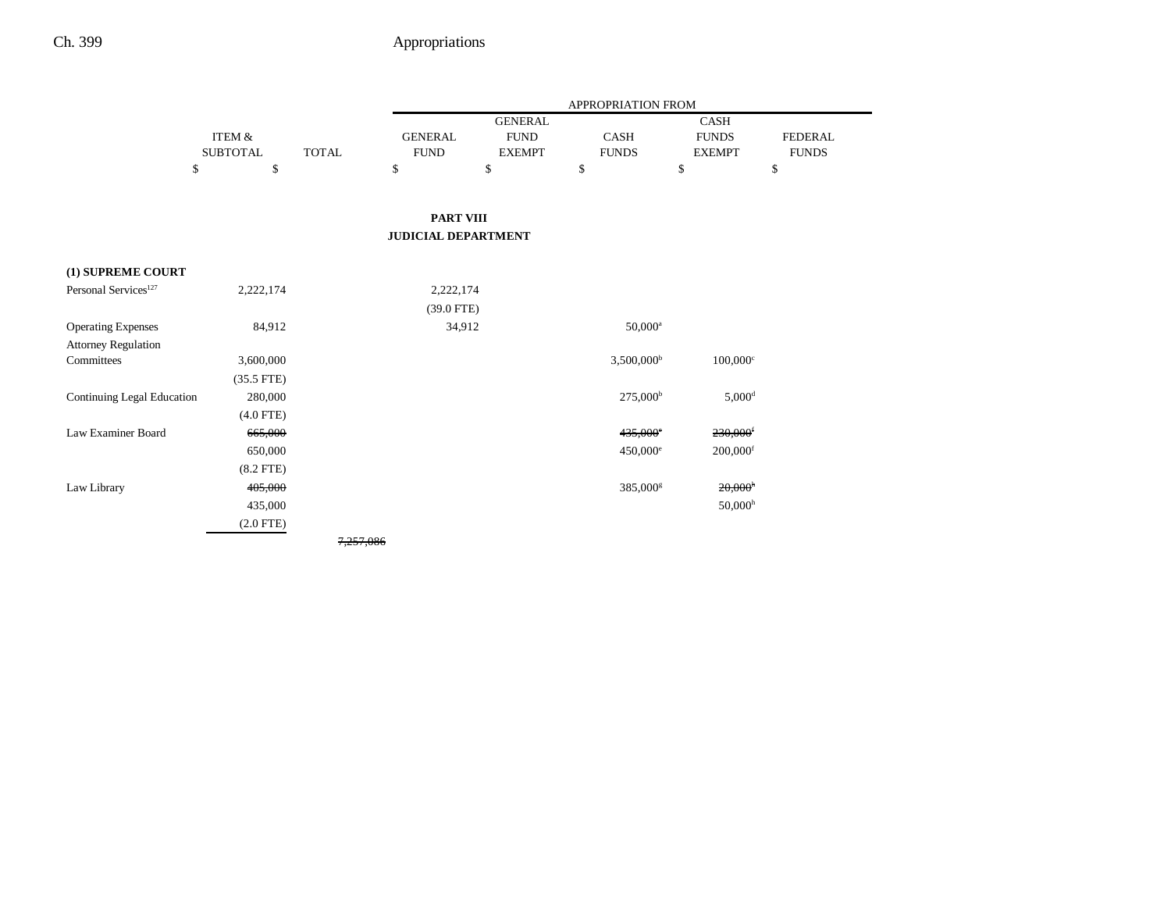|                                  |                 |              | APPROPRIATION FROM         |                |                        |                        |                |
|----------------------------------|-----------------|--------------|----------------------------|----------------|------------------------|------------------------|----------------|
|                                  |                 |              |                            | <b>GENERAL</b> |                        | CASH                   |                |
|                                  | ITEM &          |              | <b>GENERAL</b>             | <b>FUND</b>    | <b>CASH</b>            | <b>FUNDS</b>           | <b>FEDERAL</b> |
|                                  | <b>SUBTOTAL</b> | <b>TOTAL</b> | <b>FUND</b>                | <b>EXEMPT</b>  | <b>FUNDS</b>           | <b>EXEMPT</b>          | <b>FUNDS</b>   |
| \$                               | \$              |              | \$                         | \$             | \$                     | \$                     | \$             |
|                                  |                 |              |                            |                |                        |                        |                |
|                                  |                 |              | <b>PART VIII</b>           |                |                        |                        |                |
|                                  |                 |              | <b>JUDICIAL DEPARTMENT</b> |                |                        |                        |                |
|                                  |                 |              |                            |                |                        |                        |                |
| (1) SUPREME COURT                |                 |              |                            |                |                        |                        |                |
| Personal Services <sup>127</sup> | 2,222,174       |              | 2,222,174                  |                |                        |                        |                |
|                                  |                 |              | $(39.0$ FTE)               |                |                        |                        |                |
| <b>Operating Expenses</b>        | 84,912          |              | 34,912                     |                | $50,000^{\rm a}$       |                        |                |
| <b>Attorney Regulation</b>       |                 |              |                            |                |                        |                        |                |
| Committees                       | 3,600,000       |              |                            |                | 3,500,000 <sup>b</sup> | $100,000$ <sup>c</sup> |                |
|                                  | $(35.5$ FTE)    |              |                            |                |                        |                        |                |
| Continuing Legal Education       | 280,000         |              |                            |                | $275,000^{\rm b}$      | $5,000$ <sup>d</sup>   |                |
|                                  | $(4.0$ FTE)     |              |                            |                |                        |                        |                |
| Law Examiner Board               | 665,000         |              |                            |                | $435,000^{\circ}$      | $230,000$ <sup>f</sup> |                |
|                                  | 650,000         |              |                            |                | 450,000 <sup>e</sup>   | $200,000$ <sup>f</sup> |                |
|                                  | $(8.2$ FTE)     |              |                            |                |                        |                        |                |
| Law Library                      | 405,000         |              |                            |                | 385,000 <sup>s</sup>   | 20,000 <sup>h</sup>    |                |
|                                  | 435,000         |              |                            |                |                        | 50,000 <sup>h</sup>    |                |
|                                  | $(2.0$ FTE)     |              |                            |                |                        |                        |                |
|                                  |                 | 7.257.086    |                            |                |                        |                        |                |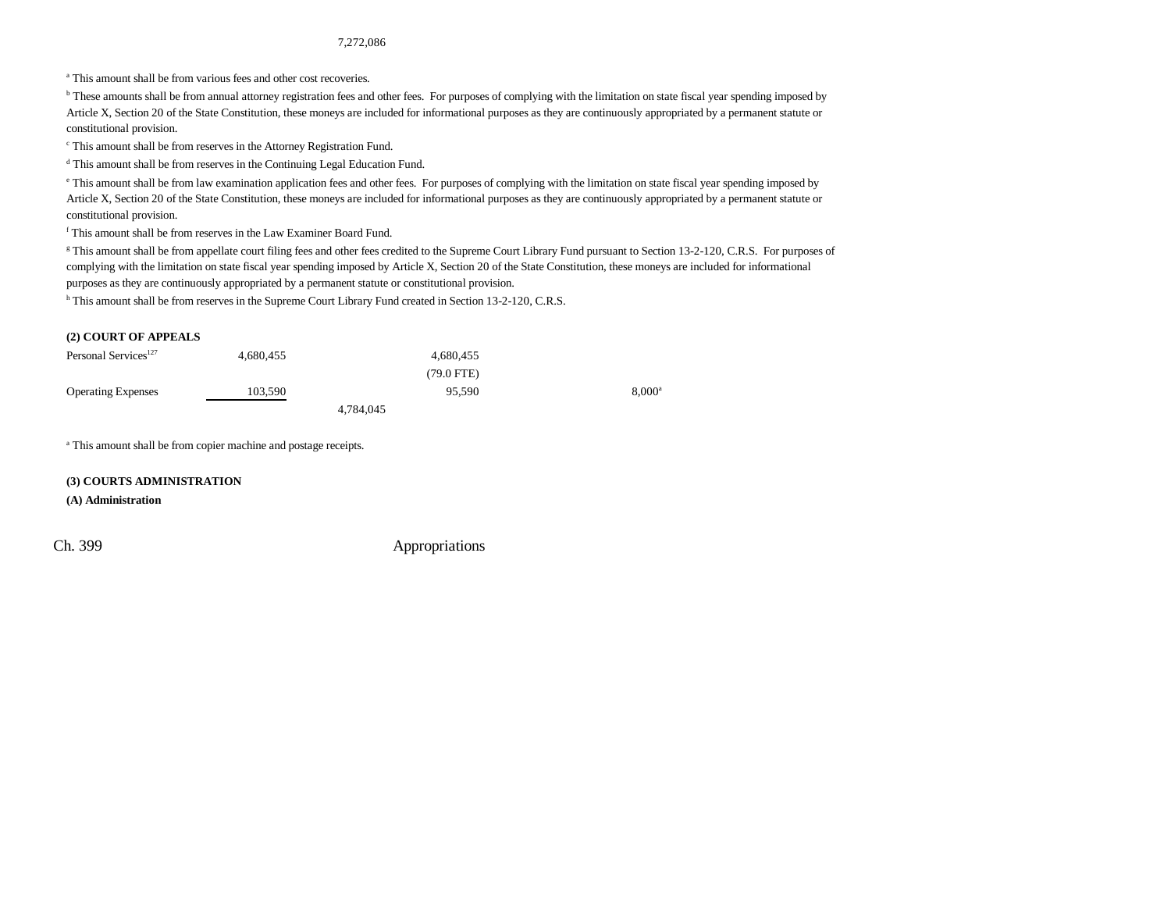7,272,086

<sup>a</sup> This amount shall be from various fees and other cost recoveries.

<sup>b</sup> These amounts shall be from annual attorney registration fees and other fees. For purposes of complying with the limitation on state fiscal year spending imposed by Article X, Section 20 of the State Constitution, these moneys are included for informational purposes as they are continuously appropriated by a permanent statute or constitutional provision.

c This amount shall be from reserves in the Attorney Registration Fund.

d This amount shall be from reserves in the Continuing Legal Education Fund.

<sup>e</sup> This amount shall be from law examination application fees and other fees. For purposes of complying with the limitation on state fiscal year spending imposed by Article X, Section 20 of the State Constitution, these moneys are included for informational purposes as they are continuously appropriated by a permanent statute or constitutional provision.

f This amount shall be from reserves in the Law Examiner Board Fund.

<sup>g</sup> This amount shall be from appellate court filing fees and other fees credited to the Supreme Court Library Fund pursuant to Section 13-2-120, C.R.S. For purposes of complying with the limitation on state fiscal year spending imposed by Article X, Section 20 of the State Constitution, these moneys are included for informational purposes as they are continuously appropriated by a permanent statute or constitutional provision.

h This amount shall be from reserves in the Supreme Court Library Fund created in Section 13-2-120, C.R.S.

#### **(2) COURT OF APPEALS**

| Personal Services <sup>127</sup> | 4.680.455 | 4.680.455            |                 |
|----------------------------------|-----------|----------------------|-----------------|
|                                  |           | $(79.0 \text{ FTE})$ |                 |
| <b>Operating Expenses</b>        | 103.590   | 95.590               | $8.000^{\circ}$ |
|                                  |           | 4.784.045            |                 |

a This amount shall be from copier machine and postage receipts.

#### **(3) COURTS ADMINISTRATION**

#### **(A) Administration**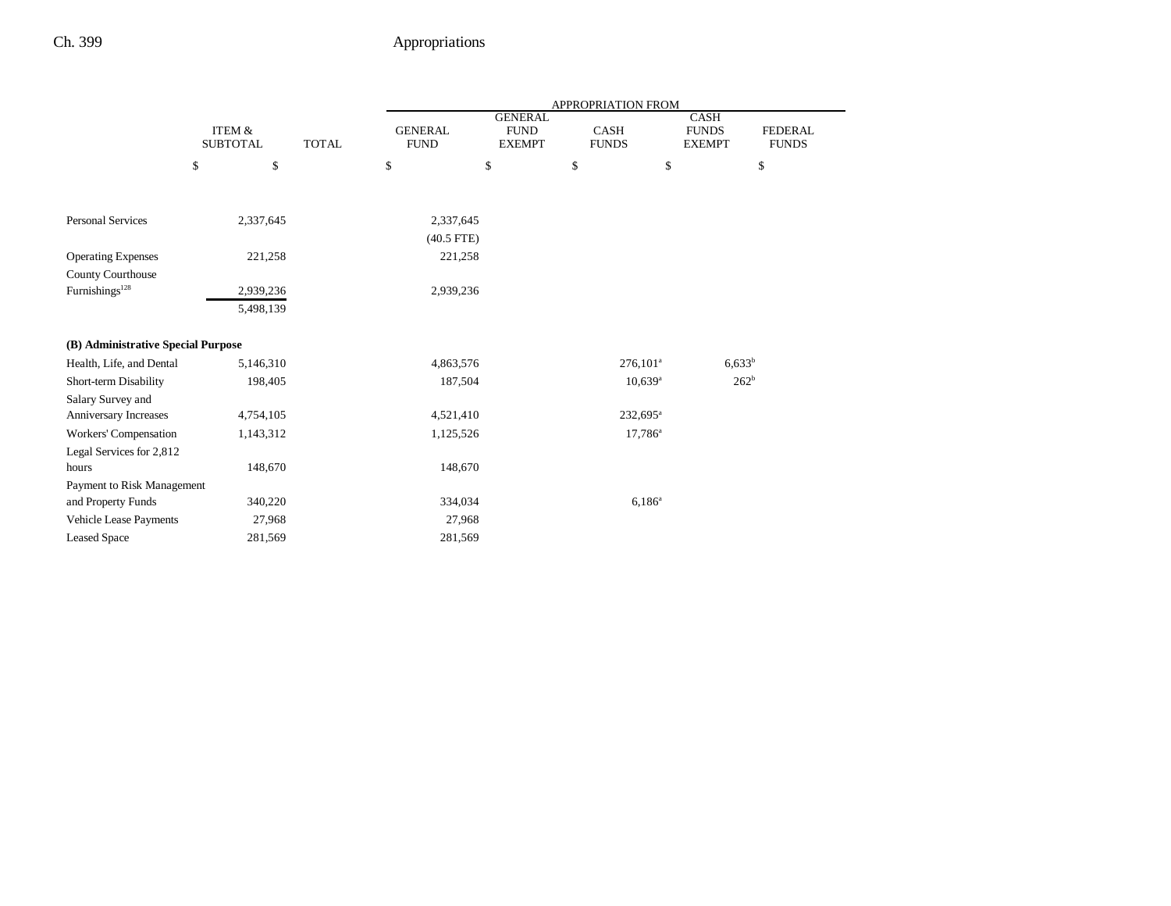|                                    |                           |              | APPROPRIATION FROM            |                                                |                             |                                              |                                |
|------------------------------------|---------------------------|--------------|-------------------------------|------------------------------------------------|-----------------------------|----------------------------------------------|--------------------------------|
|                                    | ITEM &<br><b>SUBTOTAL</b> | <b>TOTAL</b> | <b>GENERAL</b><br><b>FUND</b> | <b>GENERAL</b><br><b>FUND</b><br><b>EXEMPT</b> | <b>CASH</b><br><b>FUNDS</b> | <b>CASH</b><br><b>FUNDS</b><br><b>EXEMPT</b> | <b>FEDERAL</b><br><b>FUNDS</b> |
|                                    | \$                        | \$           | \$                            | \$                                             | \$                          | \$                                           | \$                             |
|                                    |                           |              |                               |                                                |                             |                                              |                                |
| <b>Personal Services</b>           | 2,337,645                 |              | 2,337,645                     |                                                |                             |                                              |                                |
|                                    |                           |              | $(40.5$ FTE)                  |                                                |                             |                                              |                                |
| <b>Operating Expenses</b>          | 221,258                   |              | 221,258                       |                                                |                             |                                              |                                |
| County Courthouse                  |                           |              |                               |                                                |                             |                                              |                                |
| Furnishings <sup>128</sup>         | 2,939,236                 |              | 2,939,236                     |                                                |                             |                                              |                                |
|                                    | 5,498,139                 |              |                               |                                                |                             |                                              |                                |
| (B) Administrative Special Purpose |                           |              |                               |                                                |                             |                                              |                                |
| Health, Life, and Dental           | 5,146,310                 |              | 4,863,576                     |                                                | $276,101^a$                 |                                              | $6,633^b$                      |
| Short-term Disability              | 198,405                   |              | 187,504                       |                                                | $10,639$ <sup>a</sup>       |                                              | 262 <sup>b</sup>               |
| Salary Survey and                  |                           |              |                               |                                                |                             |                                              |                                |
| Anniversary Increases              | 4,754,105                 |              | 4,521,410                     |                                                | 232,695 <sup>a</sup>        |                                              |                                |
| Workers' Compensation              | 1,143,312                 |              | 1,125,526                     |                                                | $17,786^a$                  |                                              |                                |
| Legal Services for 2,812           |                           |              |                               |                                                |                             |                                              |                                |
| hours                              | 148,670                   |              | 148,670                       |                                                |                             |                                              |                                |
| Payment to Risk Management         |                           |              |                               |                                                |                             |                                              |                                |
| and Property Funds                 | 340,220                   |              | 334,034                       |                                                | $6,186^{\rm a}$             |                                              |                                |
| Vehicle Lease Payments             |                           | 27,968       | 27,968                        |                                                |                             |                                              |                                |
| <b>Leased Space</b>                | 281,569                   |              | 281,569                       |                                                |                             |                                              |                                |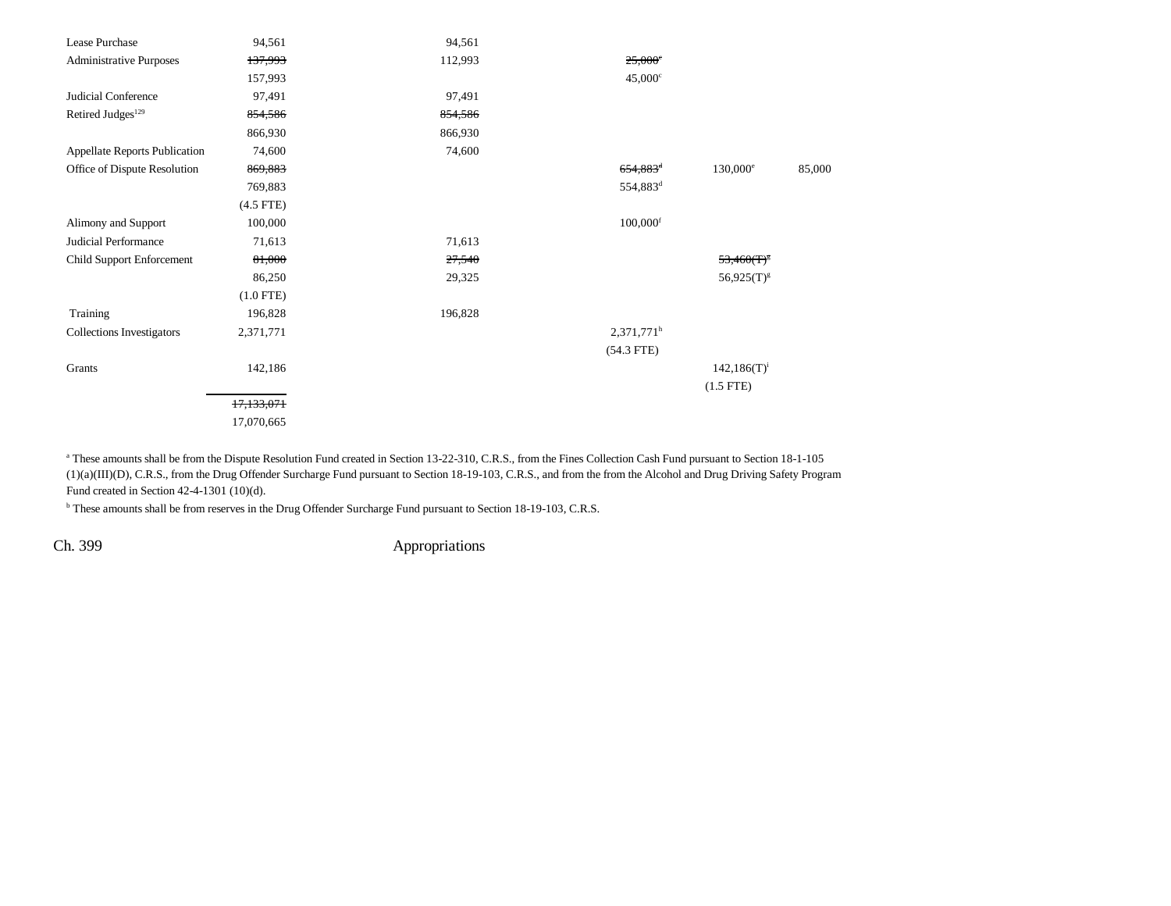| Lease Purchase                   | 94,561      | 94,561  |                          |                   |        |
|----------------------------------|-------------|---------|--------------------------|-------------------|--------|
| <b>Administrative Purposes</b>   | 137,993     | 112,993 | $25,000^{\circ}$         |                   |        |
|                                  | 157,993     |         | $45,000^{\circ}$         |                   |        |
| Judicial Conference              | 97,491      | 97,491  |                          |                   |        |
| Retired Judges <sup>129</sup>    | 854,586     | 854,586 |                          |                   |        |
|                                  | 866,930     | 866,930 |                          |                   |        |
| Appellate Reports Publication    | 74,600      | 74,600  |                          |                   |        |
| Office of Dispute Resolution     | 869,883     |         | $654,883$ <sup>d</sup>   | $130,000^{\circ}$ | 85,000 |
|                                  | 769,883     |         | 554,883 <sup>d</sup>     |                   |        |
|                                  | $(4.5$ FTE) |         |                          |                   |        |
| Alimony and Support              | 100,000     |         | $100,000$ <sup>f</sup>   |                   |        |
| Judicial Performance             | 71,613      | 71,613  |                          |                   |        |
| Child Support Enforcement        | 81,000      | 27,540  |                          | $53,460(T)^8$     |        |
|                                  | 86,250      | 29,325  |                          | $56,925(T)^{g}$   |        |
|                                  | $(1.0$ FTE) |         |                          |                   |        |
| Training                         | 196,828     | 196,828 |                          |                   |        |
| <b>Collections Investigators</b> | 2,371,771   |         | $2,371,771$ <sup>h</sup> |                   |        |
|                                  |             |         | $(54.3$ FTE)             |                   |        |
| Grants                           | 142,186     |         |                          | $142,186(T)^{i}$  |        |
|                                  |             |         |                          | $(1.5$ FTE)       |        |
|                                  | 17,133,071  |         |                          |                   |        |
|                                  | 17,070,665  |         |                          |                   |        |
|                                  |             |         |                          |                   |        |

<sup>a</sup> These amounts shall be from the Dispute Resolution Fund created in Section 13-22-310, C.R.S., from the Fines Collection Cash Fund pursuant to Section 18-1-105 (1)(a)(III)(D), C.R.S., from the Drug Offender Surcharge Fund pursuant to Section 18-19-103, C.R.S., and from the from the Alcohol and Drug Driving Safety Program Fund created in Section 42-4-1301 (10)(d).

b These amounts shall be from reserves in the Drug Offender Surcharge Fund pursuant to Section 18-19-103, C.R.S.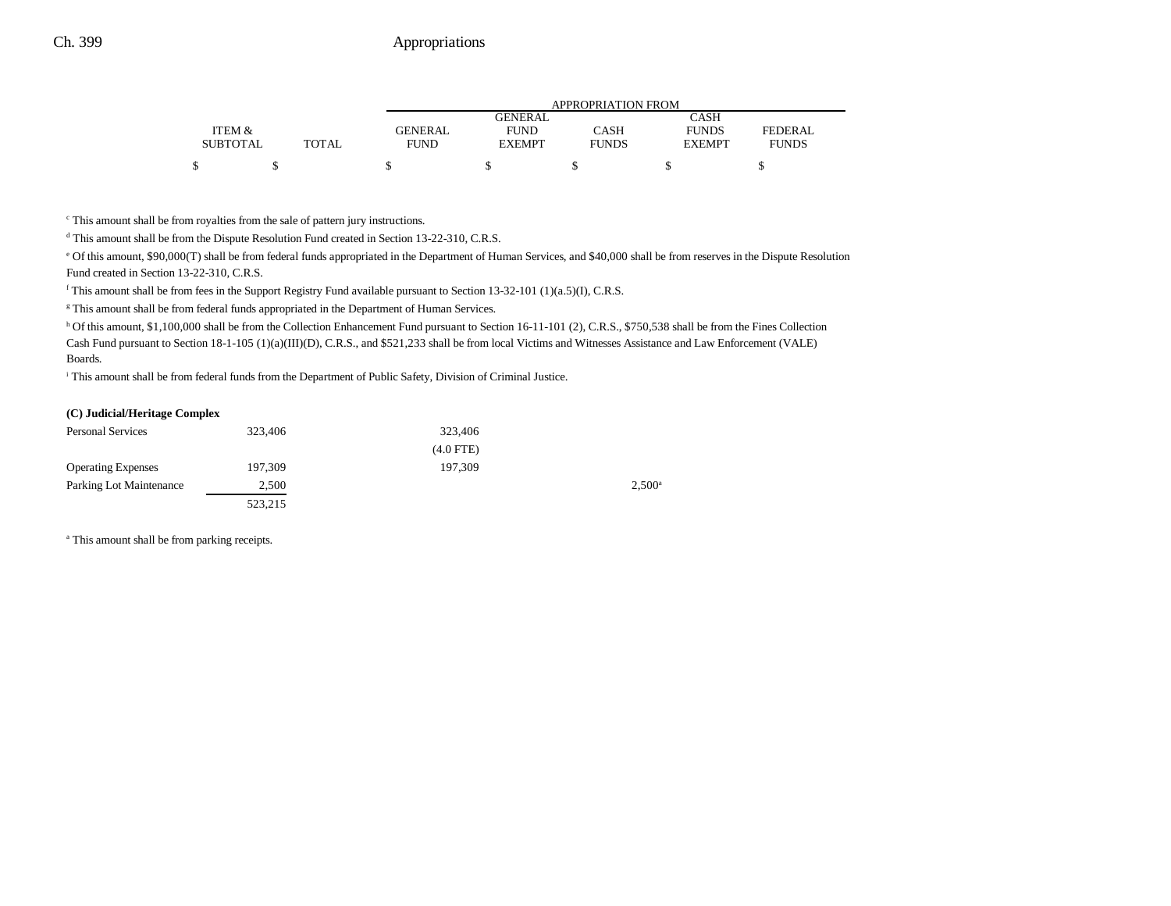|                 |       | APPROPRIATION FROM |                |              |               |              |  |
|-----------------|-------|--------------------|----------------|--------------|---------------|--------------|--|
|                 |       |                    | <b>GENERAL</b> |              | CASH          |              |  |
| ITEM &          |       | <b>GENERAL</b>     | <b>FUND</b>    | CASH         | <b>FUNDS</b>  | FEDERAL      |  |
| <b>SUBTOTAL</b> | TOTAL | <b>FUND</b>        | <b>EXEMPT</b>  | <b>FUNDS</b> | <b>EXEMPT</b> | <b>FUNDS</b> |  |
|                 |       |                    |                |              |               |              |  |

c This amount shall be from royalties from the sale of pattern jury instructions.

d This amount shall be from the Dispute Resolution Fund created in Section 13-22-310, C.R.S.

e Of this amount, \$90,000(T) shall be from federal funds appropriated in the Department of Human Services, and \$40,000 shall be from reserves in the Dispute Resolution Fund created in Section 13-22-310, C.R.S.

f This amount shall be from fees in the Support Registry Fund available pursuant to Section 13-32-101 (1)(a.5)(I), C.R.S.

<sup>g</sup> This amount shall be from federal funds appropriated in the Department of Human Services.

 $h$  Of this amount, \$1,100,000 shall be from the Collection Enhancement Fund pursuant to Section 16-11-101 (2), C.R.S., \$750,538 shall be from the Fines Collection Cash Fund pursuant to Section 18-1-105 (1)(a)(III)(D), C.R.S., and \$521,233 shall be from local Victims and Witnesses Assistance and Law Enforcement (VALE) Boards.

i This amount shall be from federal funds from the Department of Public Safety, Division of Criminal Justice.

#### **(C) Judicial/Heritage Complex**

| <b>Personal Services</b>  | 323,406 | 323,406     |                 |
|---------------------------|---------|-------------|-----------------|
|                           |         | $(4.0$ FTE) |                 |
| <b>Operating Expenses</b> | 197.309 | 197.309     |                 |
| Parking Lot Maintenance   | 2,500   |             | $2.500^{\circ}$ |
|                           | 523,215 |             |                 |

a This amount shall be from parking receipts.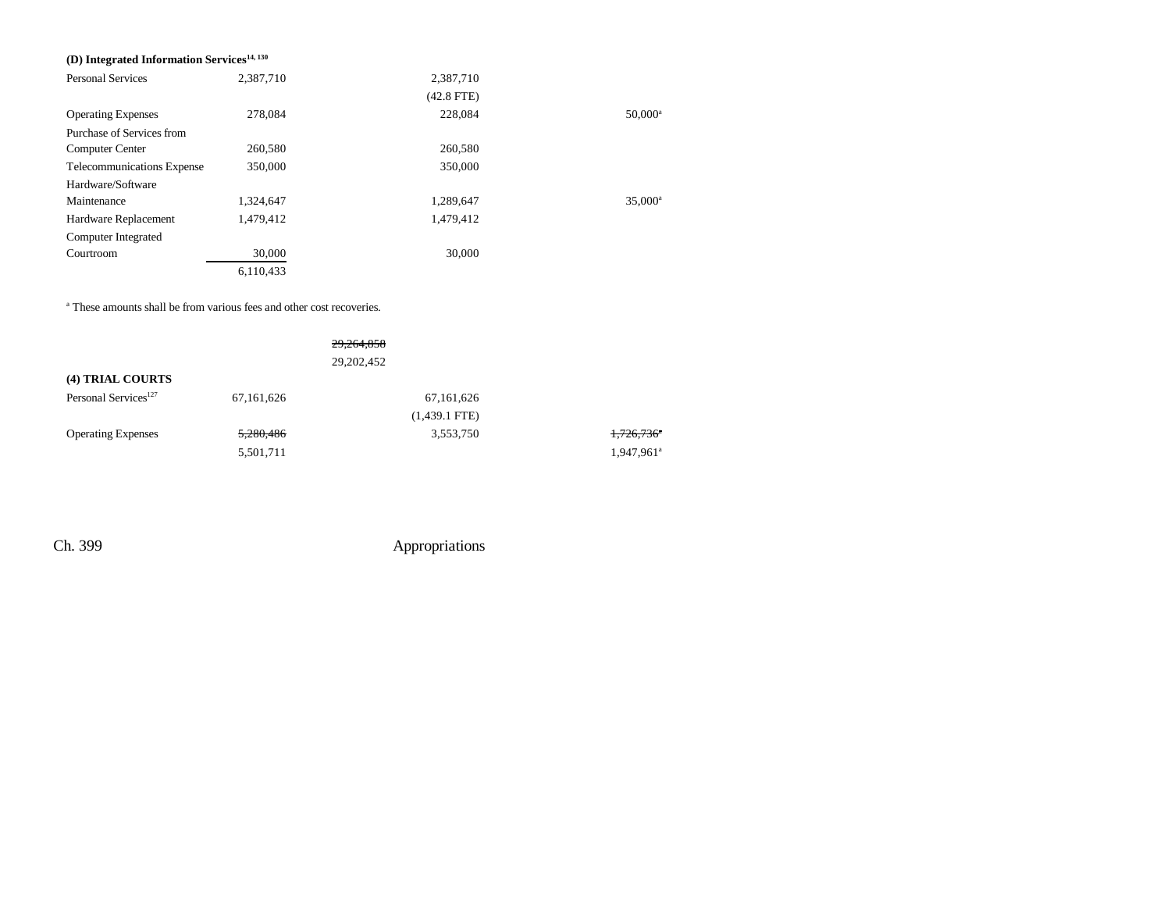### **(D) Integrated Information Services14, 130**

| <b>Personal Services</b>   | 2,387,710 | 2,387,710    |                  |
|----------------------------|-----------|--------------|------------------|
|                            |           | $(42.8$ FTE) |                  |
| <b>Operating Expenses</b>  | 278,084   | 228,084      | $50,000^{\circ}$ |
| Purchase of Services from  |           |              |                  |
| <b>Computer Center</b>     | 260,580   | 260,580      |                  |
| Telecommunications Expense | 350,000   | 350,000      |                  |
| Hardware/Software          |           |              |                  |
| Maintenance                | 1,324,647 | 1,289,647    | $35,000^{\circ}$ |
| Hardware Replacement       | 1,479,412 | 1,479,412    |                  |
| Computer Integrated        |           |              |                  |
| Courtroom                  | 30,000    | 30,000       |                  |
|                            | 6,110,433 |              |                  |

a These amounts shall be from various fees and other cost recoveries.

|                                  |            | 29,264,858      |                          |
|----------------------------------|------------|-----------------|--------------------------|
|                                  |            | 29, 202, 452    |                          |
| (4) TRIAL COURTS                 |            |                 |                          |
| Personal Services <sup>127</sup> | 67,161,626 | 67,161,626      |                          |
|                                  |            | $(1,439.1$ FTE) |                          |
| <b>Operating Expenses</b>        | 5,280,486  | 3,553,750       | $1,726,736$ <sup>*</sup> |
|                                  | 5,501,711  |                 | 1,947,961 <sup>a</sup>   |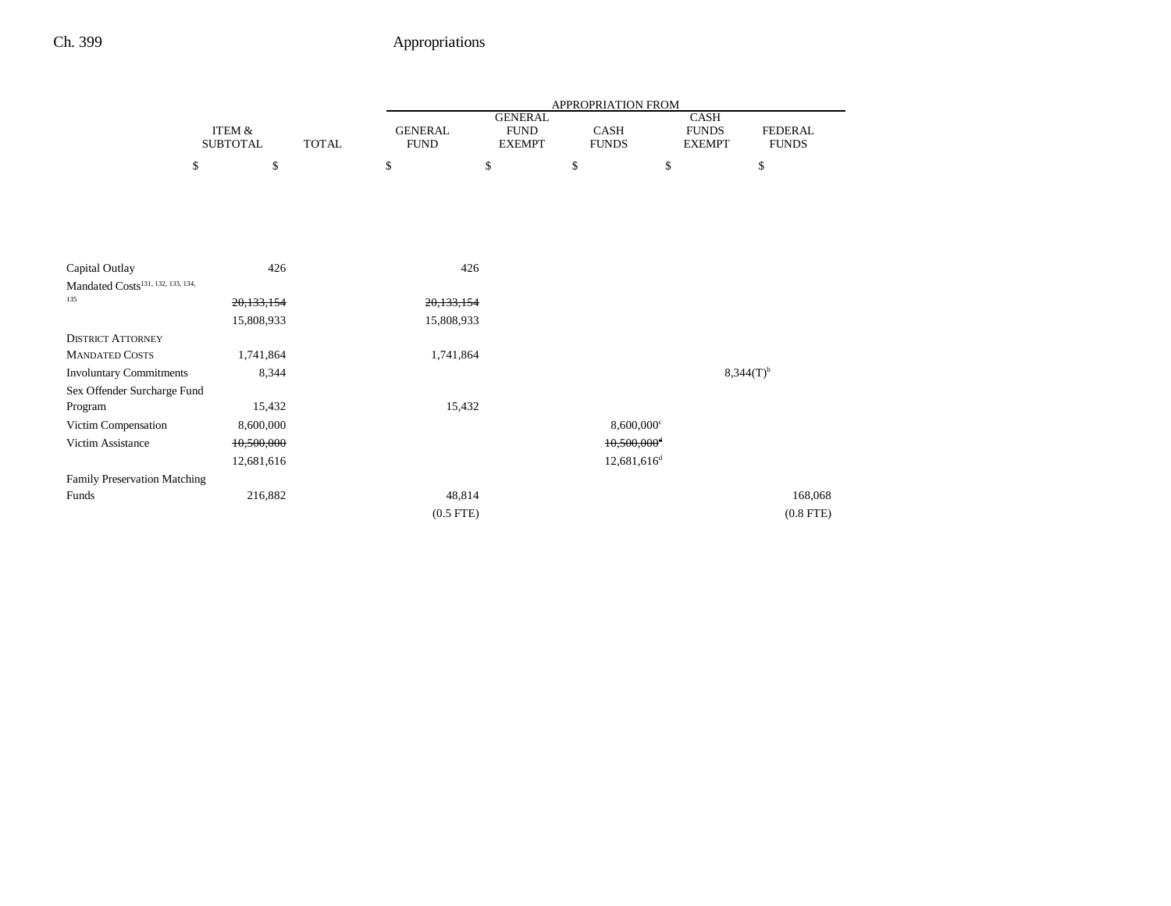|                                               |                           |              | <b>APPROPRIATION FROM</b>     |                                                |                      |                           |                                              |                                |
|-----------------------------------------------|---------------------------|--------------|-------------------------------|------------------------------------------------|----------------------|---------------------------|----------------------------------------------|--------------------------------|
|                                               | ITEM &<br><b>SUBTOTAL</b> | <b>TOTAL</b> | <b>GENERAL</b><br><b>FUND</b> | <b>GENERAL</b><br><b>FUND</b><br><b>EXEMPT</b> | CASH<br><b>FUNDS</b> |                           | <b>CASH</b><br><b>FUNDS</b><br><b>EXEMPT</b> | <b>FEDERAL</b><br><b>FUNDS</b> |
|                                               | \$<br>\$                  |              | \$                            | \$                                             | \$                   | \$                        |                                              | \$                             |
|                                               |                           |              |                               |                                                |                      |                           |                                              |                                |
|                                               |                           |              |                               |                                                |                      |                           |                                              |                                |
|                                               |                           |              |                               |                                                |                      |                           |                                              |                                |
|                                               |                           |              |                               |                                                |                      |                           |                                              |                                |
| Capital Outlay                                | 426                       |              | 426                           |                                                |                      |                           |                                              |                                |
| Mandated Costs <sup>131, 132, 133, 134,</sup> |                           |              |                               |                                                |                      |                           |                                              |                                |
| 135                                           | 20,133,154                |              | 20, 133, 154                  |                                                |                      |                           |                                              |                                |
|                                               | 15,808,933                |              | 15,808,933                    |                                                |                      |                           |                                              |                                |
| <b>DISTRICT ATTORNEY</b>                      |                           |              |                               |                                                |                      |                           |                                              |                                |
| <b>MANDATED COSTS</b>                         | 1,741,864                 |              | 1,741,864                     |                                                |                      |                           |                                              |                                |
| <b>Involuntary Commitments</b>                | 8,344                     |              |                               |                                                |                      |                           |                                              | $8,344(T)^{b}$                 |
| Sex Offender Surcharge Fund                   |                           |              |                               |                                                |                      |                           |                                              |                                |
| Program                                       | 15,432                    |              | 15,432                        |                                                |                      |                           |                                              |                                |
| Victim Compensation                           | 8,600,000                 |              |                               |                                                |                      | $8,600,000$ <sup>c</sup>  |                                              |                                |
| Victim Assistance                             | 10,500,000                |              |                               |                                                |                      | $10,500,000$ <sup>d</sup> |                                              |                                |
|                                               | 12,681,616                |              |                               |                                                |                      | 12,681,616 <sup>d</sup>   |                                              |                                |
| Family Preservation Matching                  |                           |              |                               |                                                |                      |                           |                                              |                                |
| Funds                                         | 216,882                   |              | 48,814                        |                                                |                      |                           |                                              | 168,068                        |
|                                               |                           |              | $(0.5$ FTE $)$                |                                                |                      |                           |                                              | $(0.8$ FTE $)$                 |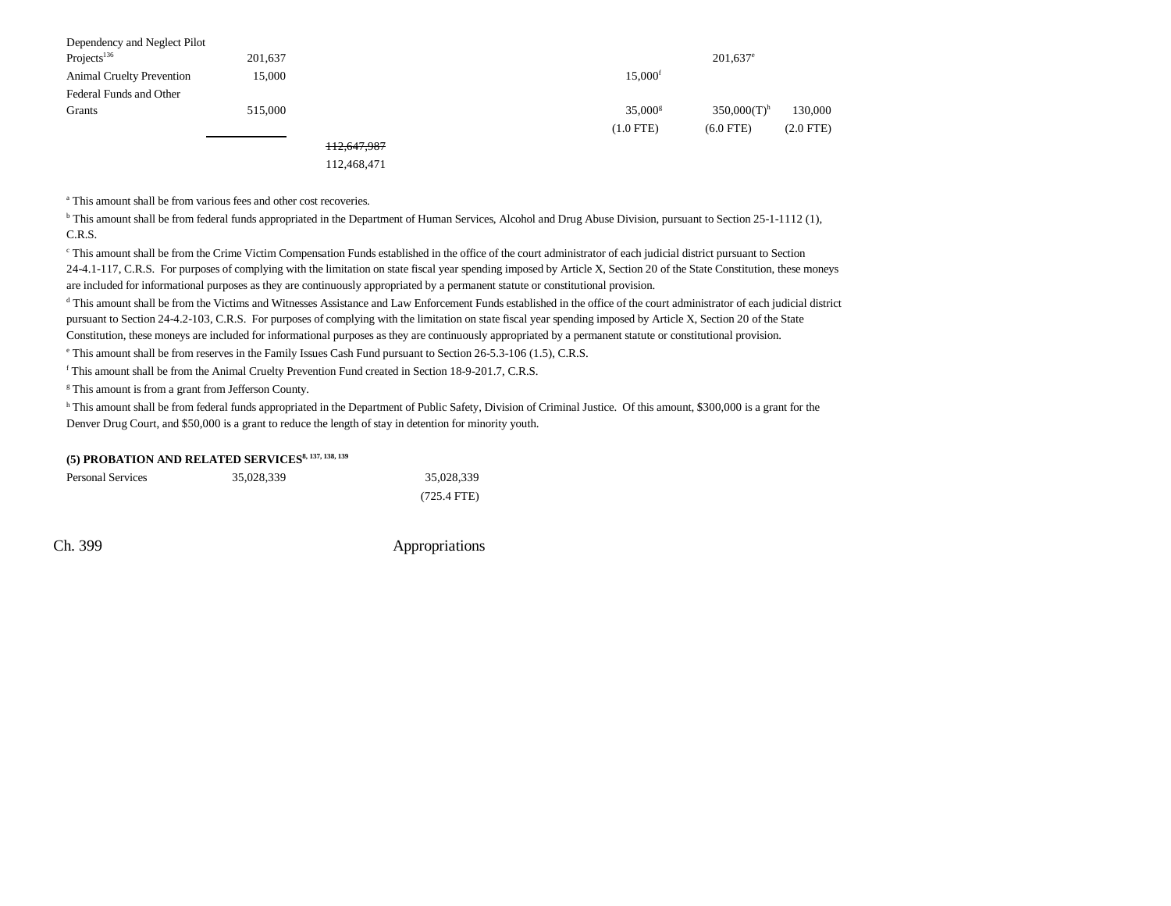| Dependency and Neglect Pilot     |         |             |                       |                           |                |
|----------------------------------|---------|-------------|-----------------------|---------------------------|----------------|
| Projects $136$                   | 201,637 |             |                       | $201,637$ <sup>e</sup>    |                |
| <b>Animal Cruelty Prevention</b> | 15.000  |             | $15.000$ <sup>f</sup> |                           |                |
| Federal Funds and Other          |         |             |                       |                           |                |
| Grants                           | 515,000 |             | $35,000$ <sup>s</sup> | $350,000(T)$ <sup>h</sup> | 130,000        |
|                                  |         |             | $(1.0$ FTE)           | $(6.0$ FTE)               | $(2.0$ FTE $)$ |
|                                  |         | 112,647,987 |                       |                           |                |
|                                  |         | .           |                       |                           |                |

112,468,471

a This amount shall be from various fees and other cost recoveries.

 $b$  This amount shall be from federal funds appropriated in the Department of Human Services, Alcohol and Drug Abuse Division, pursuant to Section 25-1-1112 (1), C.R.S.

c This amount shall be from the Crime Victim Compensation Funds established in the office of the court administrator of each judicial district pursuant to Section 24-4.1-117, C.R.S. For purposes of complying with the limitation on state fiscal year spending imposed by Article X, Section 20 of the State Constitution, these moneys are included for informational purposes as they are continuously appropriated by a permanent statute or constitutional provision.

<sup>d</sup> This amount shall be from the Victims and Witnesses Assistance and Law Enforcement Funds established in the office of the court administrator of each judicial district pursuant to Section 24-4.2-103, C.R.S. For purposes of complying with the limitation on state fiscal year spending imposed by Article X, Section 20 of the State Constitution, these moneys are included for informational purposes as they are continuously appropriated by a permanent statute or constitutional provision.

e This amount shall be from reserves in the Family Issues Cash Fund pursuant to Section 26-5.3-106 (1.5), C.R.S.

f This amount shall be from the Animal Cruelty Prevention Fund created in Section 18-9-201.7, C.R.S.

<sup>g</sup> This amount is from a grant from Jefferson County.

<sup>h</sup> This amount shall be from federal funds appropriated in the Department of Public Safety, Division of Criminal Justice. Of this amount, \$300,000 is a grant for the Denver Drug Court, and \$50,000 is a grant to reduce the length of stay in detention for minority youth.

| (5) PROBATION AND RELATED SERVICES <sup>8, 137, 138, 139</sup> |  |
|----------------------------------------------------------------|--|
|----------------------------------------------------------------|--|

| <b>Personal Services</b> | 35,028,339 | 35.028.339            |
|--------------------------|------------|-----------------------|
|                          |            | $(725.4 \text{ FTE})$ |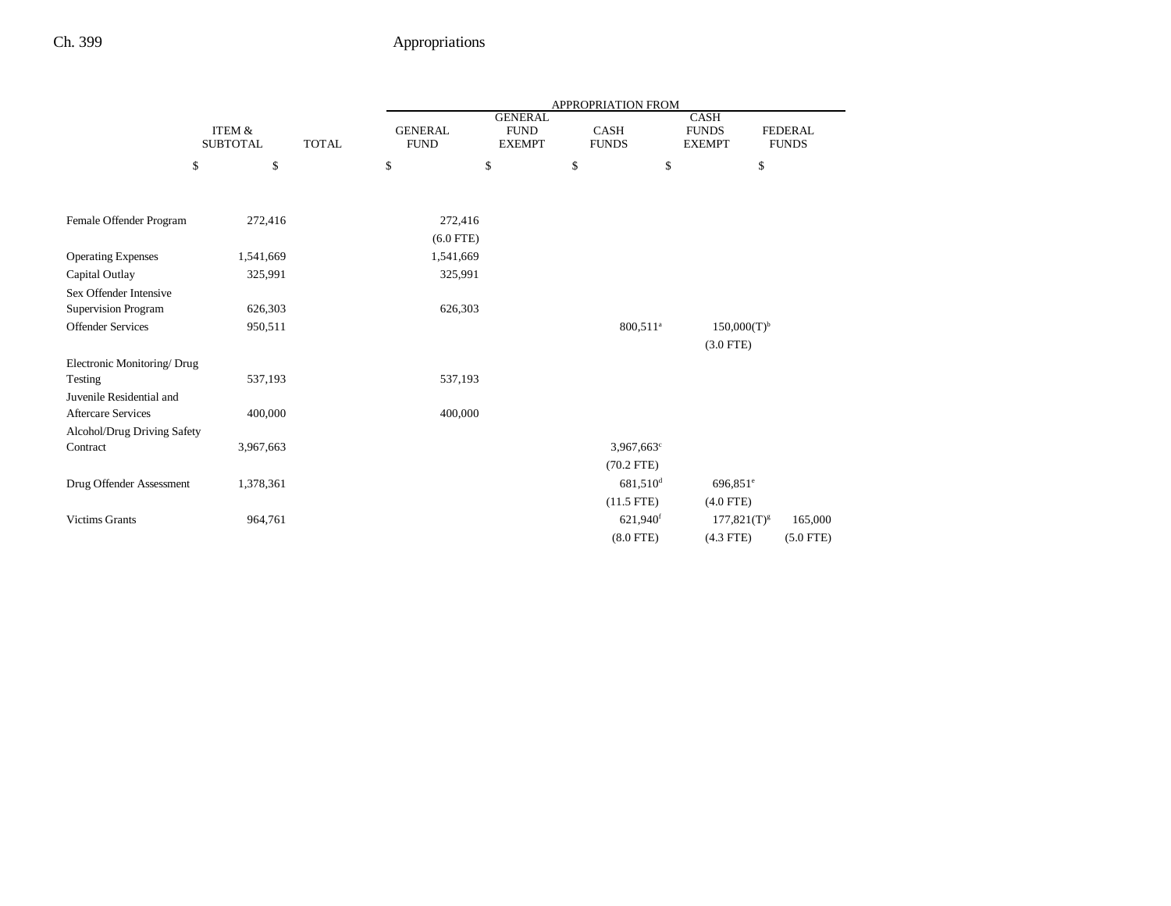|                             |                                      |              |                               |                                                |      | APPROPRIATION FROM       |                                              |                                |
|-----------------------------|--------------------------------------|--------------|-------------------------------|------------------------------------------------|------|--------------------------|----------------------------------------------|--------------------------------|
|                             | <b>ITEM &amp;</b><br><b>SUBTOTAL</b> | <b>TOTAL</b> | <b>GENERAL</b><br><b>FUND</b> | <b>GENERAL</b><br><b>FUND</b><br><b>EXEMPT</b> |      | CASH<br><b>FUNDS</b>     | <b>CASH</b><br><b>FUNDS</b><br><b>EXEMPT</b> | <b>FEDERAL</b><br><b>FUNDS</b> |
|                             | $\$$<br>\$                           |              | \$                            | \$                                             | $\$$ | \$                       | \$                                           |                                |
|                             |                                      |              |                               |                                                |      |                          |                                              |                                |
| Female Offender Program     | 272,416                              |              | 272,416                       |                                                |      |                          |                                              |                                |
|                             |                                      |              | $(6.0$ FTE)                   |                                                |      |                          |                                              |                                |
| <b>Operating Expenses</b>   | 1,541,669                            |              | 1,541,669                     |                                                |      |                          |                                              |                                |
| Capital Outlay              | 325,991                              |              | 325,991                       |                                                |      |                          |                                              |                                |
| Sex Offender Intensive      |                                      |              |                               |                                                |      |                          |                                              |                                |
| Supervision Program         | 626,303                              |              | 626,303                       |                                                |      |                          |                                              |                                |
| <b>Offender Services</b>    | 950,511                              |              |                               |                                                |      | 800,511 <sup>a</sup>     | $150,000(T)^{b}$                             |                                |
|                             |                                      |              |                               |                                                |      |                          | $(3.0$ FTE)                                  |                                |
| Electronic Monitoring/ Drug |                                      |              |                               |                                                |      |                          |                                              |                                |
| Testing                     | 537,193                              |              | 537,193                       |                                                |      |                          |                                              |                                |
| Juvenile Residential and    |                                      |              |                               |                                                |      |                          |                                              |                                |
| <b>Aftercare Services</b>   | 400,000                              |              | 400,000                       |                                                |      |                          |                                              |                                |
| Alcohol/Drug Driving Safety |                                      |              |                               |                                                |      |                          |                                              |                                |
| Contract                    | 3,967,663                            |              |                               |                                                |      | $3,967,663$ <sup>c</sup> |                                              |                                |
|                             |                                      |              |                               |                                                |      | $(70.2$ FTE)             |                                              |                                |
| Drug Offender Assessment    | 1,378,361                            |              |                               |                                                |      | 681,510 <sup>d</sup>     | $696,851$ <sup>e</sup>                       |                                |
|                             |                                      |              |                               |                                                |      | $(11.5$ FTE)             | $(4.0$ FTE)                                  |                                |
| <b>Victims Grants</b>       | 964,761                              |              |                               |                                                |      | 621,940 <sup>f</sup>     | $177,821(T)^{g}$                             | 165,000                        |
|                             |                                      |              |                               |                                                |      | $(8.0$ FTE)              | $(4.3$ FTE)                                  | $(5.0$ FTE)                    |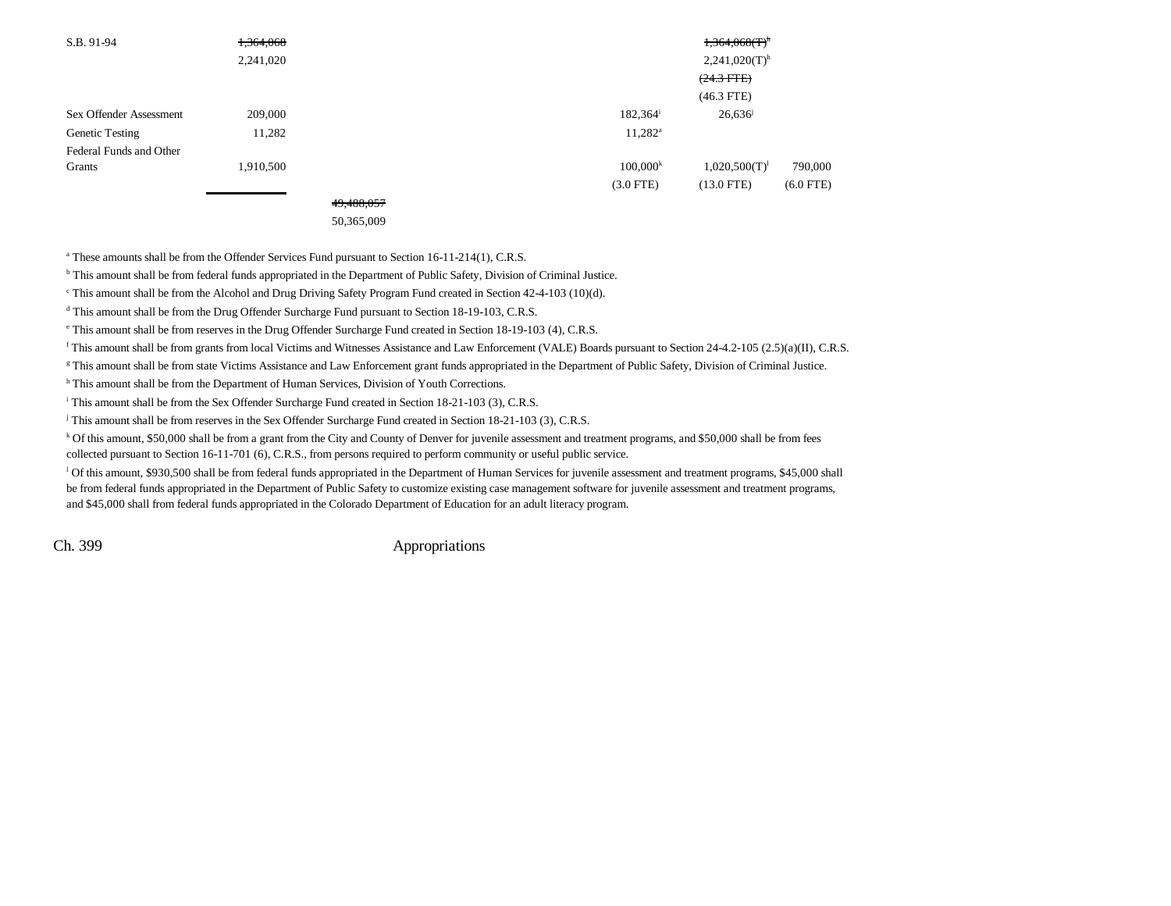| S.B. 91-94              | 1,364,068 |            |                   | $1,364,068$ (T) <sup>h</sup> |             |
|-------------------------|-----------|------------|-------------------|------------------------------|-------------|
|                         | 2,241,020 |            |                   | $2,241,020(T)$ <sup>h</sup>  |             |
|                         |           |            |                   | $(24.3$ FTE)                 |             |
|                         |           |            |                   | $(46.3$ FTE)                 |             |
| Sex Offender Assessment | 209,000   |            | $182,364^{\rm i}$ | 26,636                       |             |
| Genetic Testing         | 11,282    |            | $11,282^a$        |                              |             |
| Federal Funds and Other |           |            |                   |                              |             |
| Grants                  | 1,910,500 |            | $100,000^k$       | $1,020,500(T)^1$             | 790,000     |
|                         |           |            | $(3.0$ FTE)       | $(13.0$ FTE)                 | $(6.0$ FTE) |
|                         |           | 49,488,057 |                   |                              |             |

50,365,009

<sup>a</sup> These amounts shall be from the Offender Services Fund pursuant to Section 16-11-214(1), C.R.S.

b This amount shall be from federal funds appropriated in the Department of Public Safety, Division of Criminal Justice.

c This amount shall be from the Alcohol and Drug Driving Safety Program Fund created in Section 42-4-103 (10)(d).

<sup>d</sup> This amount shall be from the Drug Offender Surcharge Fund pursuant to Section 18-19-103, C.R.S.

e This amount shall be from reserves in the Drug Offender Surcharge Fund created in Section 18-19-103 (4), C.R.S.

f This amount shall be from grants from local Victims and Witnesses Assistance and Law Enforcement (VALE) Boards pursuant to Section 24-4.2-105 (2.5)(a)(II), C.R.S.

<sup>g</sup> This amount shall be from state Victims Assistance and Law Enforcement grant funds appropriated in the Department of Public Safety, Division of Criminal Justice.

h This amount shall be from the Department of Human Services, Division of Youth Corrections.

<sup>i</sup> This amount shall be from the Sex Offender Surcharge Fund created in Section 18-21-103 (3), C.R.S.

j This amount shall be from reserves in the Sex Offender Surcharge Fund created in Section 18-21-103 (3), C.R.S.

 $k$  Of this amount, \$50,000 shall be from a grant from the City and County of Denver for juvenile assessment and treatment programs, and \$50,000 shall be from fees collected pursuant to Section 16-11-701 (6), C.R.S., from persons required to perform community or useful public service.

<sup>1</sup> Of this amount, \$930,500 shall be from federal funds appropriated in the Department of Human Services for juvenile assessment and treatment programs, \$45,000 shall be from federal funds appropriated in the Department of Public Safety to customize existing case management software for juvenile assessment and treatment programs, and \$45,000 shall from federal funds appropriated in the Colorado Department of Education for an adult literacy program.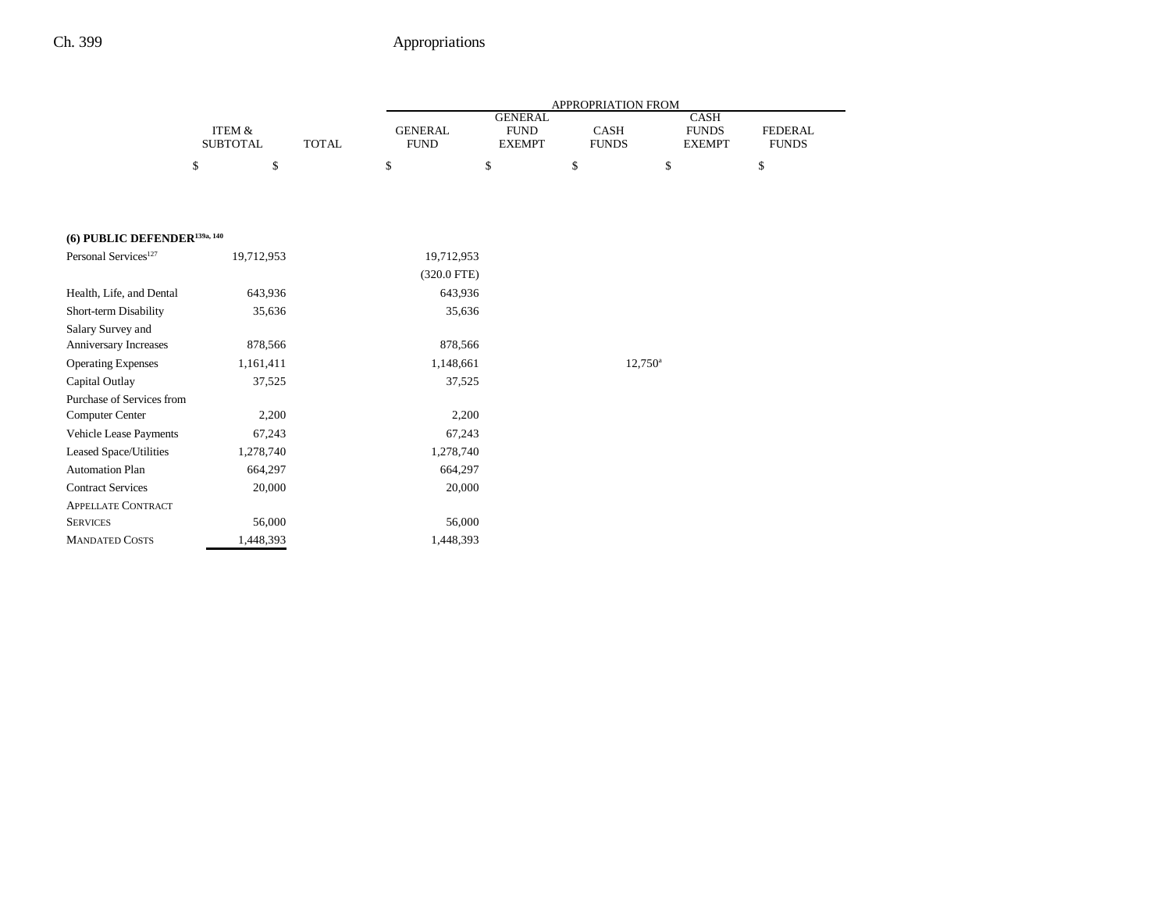|                                          |                           |              |                               |                                                | APPROPRIATION FROM   |                                              |                                |
|------------------------------------------|---------------------------|--------------|-------------------------------|------------------------------------------------|----------------------|----------------------------------------------|--------------------------------|
|                                          | ITEM &<br><b>SUBTOTAL</b> | <b>TOTAL</b> | <b>GENERAL</b><br><b>FUND</b> | <b>GENERAL</b><br><b>FUND</b><br><b>EXEMPT</b> | CASH<br><b>FUNDS</b> | <b>CASH</b><br><b>FUNDS</b><br><b>EXEMPT</b> | <b>FEDERAL</b><br><b>FUNDS</b> |
|                                          | $\$$<br>\$                |              | \$                            | \$                                             | \$                   | \$                                           | \$                             |
| (6) PUBLIC DEFENDER <sup>139a, 140</sup> |                           |              |                               |                                                |                      |                                              |                                |
| Personal Services <sup>127</sup>         | 19,712,953                |              | 19,712,953                    |                                                |                      |                                              |                                |
|                                          |                           |              | $(320.0$ FTE)                 |                                                |                      |                                              |                                |
| Health, Life, and Dental                 | 643,936                   |              | 643,936                       |                                                |                      |                                              |                                |
| Short-term Disability                    | 35,636                    |              | 35,636                        |                                                |                      |                                              |                                |
| Salary Survey and                        |                           |              |                               |                                                |                      |                                              |                                |
| Anniversary Increases                    | 878,566                   |              | 878,566                       |                                                |                      |                                              |                                |
| <b>Operating Expenses</b>                | 1,161,411                 |              | 1,148,661                     |                                                | $12,750^{\circ}$     |                                              |                                |
| Capital Outlay                           | 37,525                    |              | 37,525                        |                                                |                      |                                              |                                |
| Purchase of Services from                |                           |              |                               |                                                |                      |                                              |                                |
| Computer Center                          | 2,200                     |              | 2,200                         |                                                |                      |                                              |                                |
| Vehicle Lease Payments                   | 67,243                    |              | 67,243                        |                                                |                      |                                              |                                |
| Leased Space/Utilities                   | 1,278,740                 |              | 1,278,740                     |                                                |                      |                                              |                                |
| <b>Automation Plan</b>                   | 664,297                   |              | 664,297                       |                                                |                      |                                              |                                |
| <b>Contract Services</b>                 | 20,000                    |              | 20,000                        |                                                |                      |                                              |                                |
| <b>APPELLATE CONTRACT</b>                |                           |              |                               |                                                |                      |                                              |                                |
| <b>SERVICES</b>                          | 56,000                    |              | 56,000                        |                                                |                      |                                              |                                |
| <b>MANDATED COSTS</b>                    | 1,448,393                 |              | 1,448,393                     |                                                |                      |                                              |                                |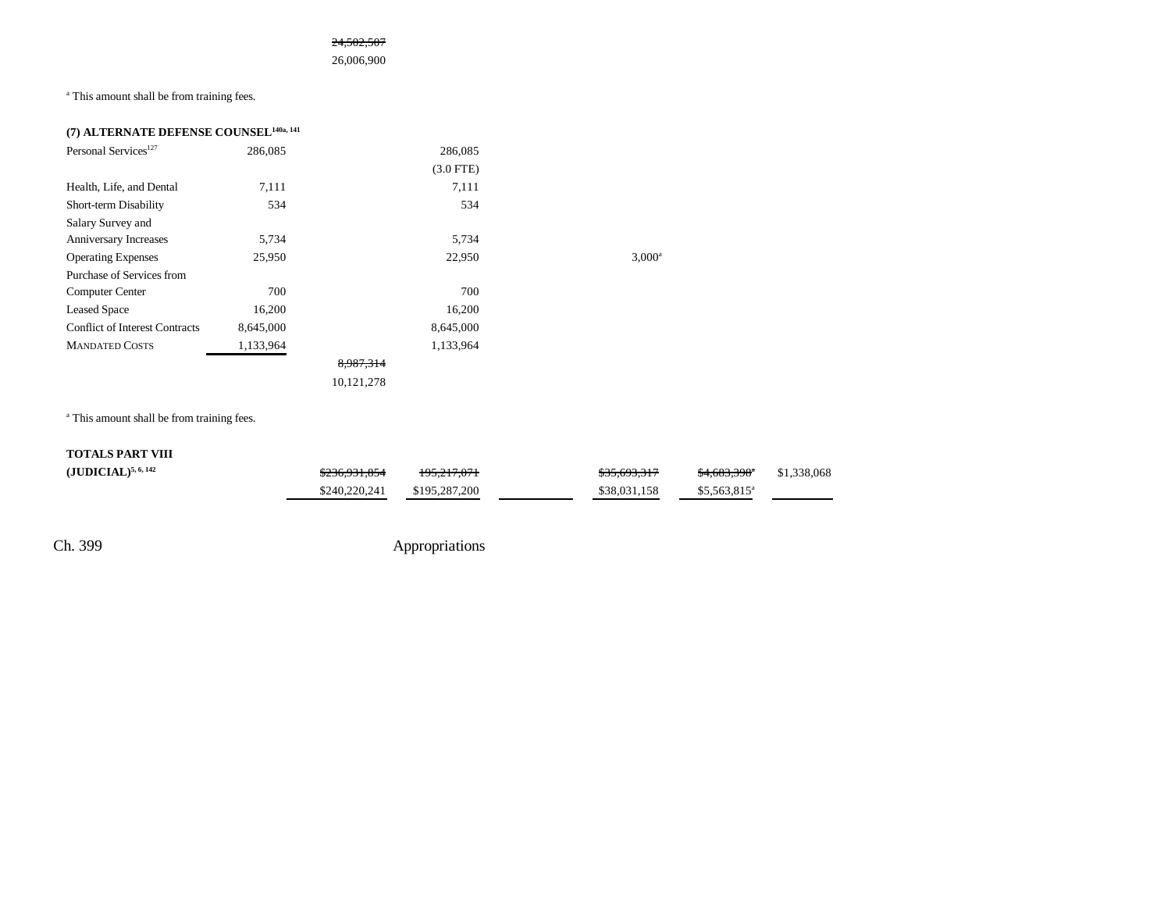24,502,507

26,006,900

a This amount shall be from training fees.

| (7) ALTERNATE DEFENSE COUNSEL <sup>140a, 141</sup> |           |             |                 |
|----------------------------------------------------|-----------|-------------|-----------------|
| Personal Services <sup>127</sup>                   | 286,085   | 286,085     |                 |
|                                                    |           | $(3.0$ FTE) |                 |
| Health, Life, and Dental                           | 7,111     | 7,111       |                 |
| Short-term Disability                              | 534       | 534         |                 |
| Salary Survey and                                  |           |             |                 |
| Anniversary Increases                              | 5,734     | 5,734       |                 |
| <b>Operating Expenses</b>                          | 25,950    | 22,950      | $3,000^{\circ}$ |
| Purchase of Services from                          |           |             |                 |
| Computer Center                                    | 700       | 700         |                 |
| <b>Leased Space</b>                                | 16,200    | 16,200      |                 |
| <b>Conflict of Interest Contracts</b>              | 8,645,000 | 8,645,000   |                 |
| <b>MANDATED COSTS</b>                              | 1,133,964 | 1,133,964   |                 |
|                                                    |           | 8,987,314   |                 |
|                                                    |           | 10,121,278  |                 |

<sup>a</sup> This amount shall be from training fees.

| <b>TOTALS PART VIII</b> |               |               |              |                          |             |
|-------------------------|---------------|---------------|--------------|--------------------------|-------------|
| $(JUDICIAL)^{5,6,142}$  | \$236,931,854 | 195.217.071   | \$35,693,317 | <del>\$4,683,398</del> * | \$1,338,068 |
|                         | \$240,220,241 | \$195,287,200 | \$38,031,158 | $$5.563.815^a$           |             |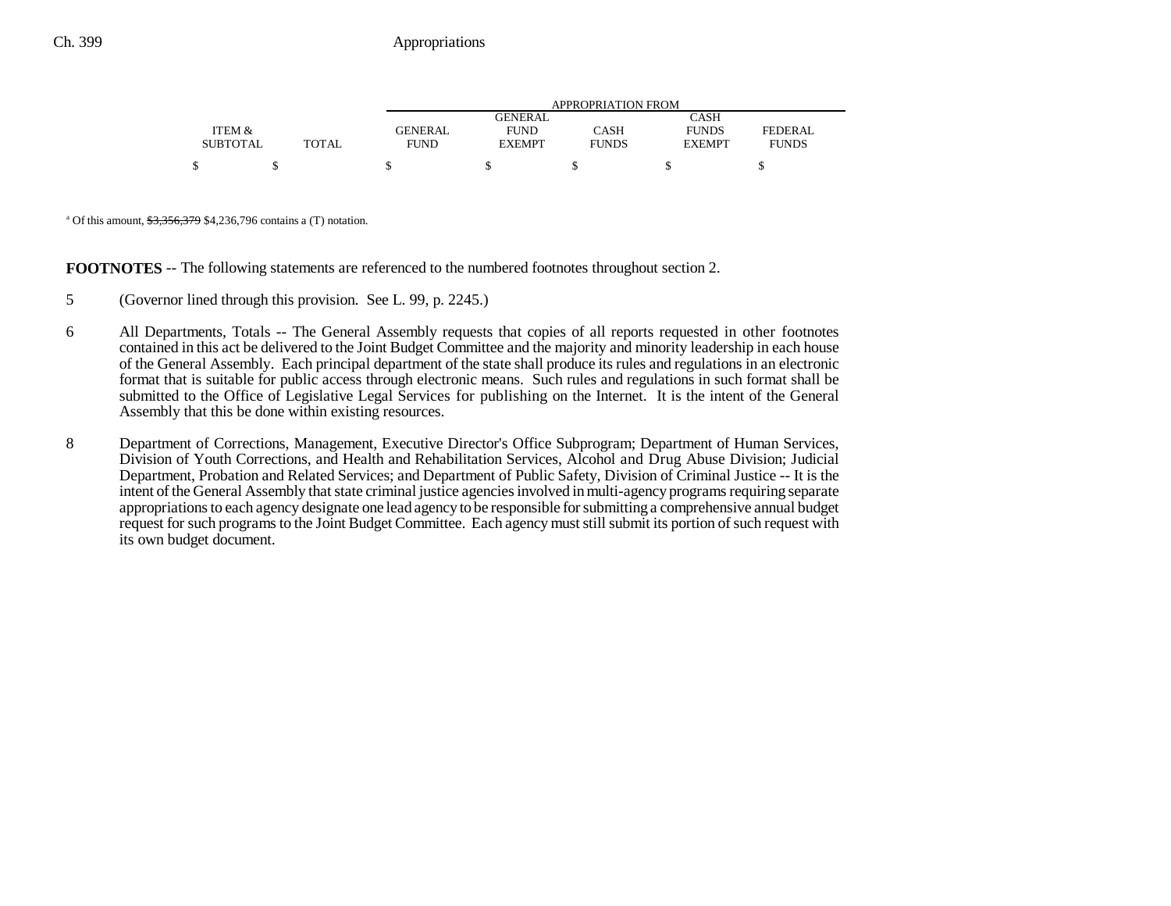|                 |       |                |               | APPROPRIATION FROM |               |              |
|-----------------|-------|----------------|---------------|--------------------|---------------|--------------|
|                 |       |                | GENERAL       |                    | CASH          |              |
| ITEM &          |       | <b>GENERAL</b> | <b>FUND</b>   | CASH               | <b>FUNDS</b>  | FEDERAL      |
| <b>SUBTOTAL</b> | TOTAL | <b>FUND</b>    | <b>EXEMPT</b> | <b>FUNDS</b>       | <b>EXEMPT</b> | <b>FUNDS</b> |
| \$              |       |                |               |                    |               |              |

<sup>a</sup> Of this amount,  $\frac{$3,356,379}{4}$  \$4,236,796 contains a (T) notation.

**FOOTNOTES** -- The following statements are referenced to the numbered footnotes throughout section 2.

- 5 (Governor lined through this provision. See L. 99, p. 2245.)
- 6 All Departments, Totals -- The General Assembly requests that copies of all reports requested in other footnotes contained in this act be delivered to the Joint Budget Committee and the majority and minority leadership in each house of the General Assembly. Each principal department of the state shall produce its rules and regulations in an electronic format that is suitable for public access through electronic means. Such rules and regulations in such format shall be submitted to the Office of Legislative Legal Services for publishing on the Internet. It is the intent of the General Assembly that this be done within existing resources.
- 8 Department of Corrections, Management, Executive Director's Office Subprogram; Department of Human Services, Division of Youth Corrections, and Health and Rehabilitation Services, Alcohol and Drug Abuse Division; Judicial Department, Probation and Related Services; and Department of Public Safety, Division of Criminal Justice -- It is the intent of the General Assembly that state criminal justice agencies involved in multi-agency programs requiring separate appropriations to each agency designate one lead agency to be responsible for submitting a comprehensive annual budget request for such programs to the Joint Budget Committee. Each agency must still submit its portion of such request with its own budget document.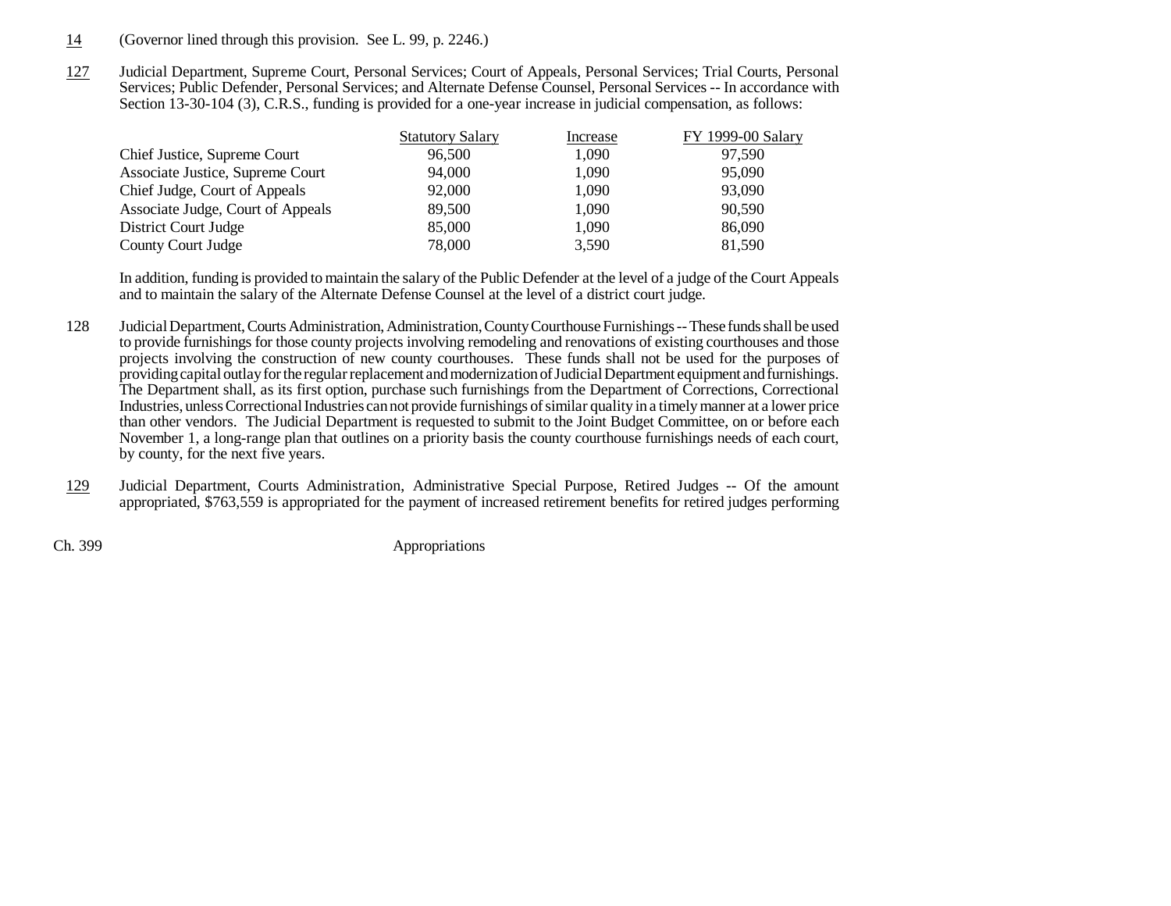- 14(Governor lined through this provision. See L. 99, p. 2246.)
- 127 Judicial Department, Supreme Court, Personal Services; Court of Appeals, Personal Services; Trial Courts, Personal Services; Public Defender, Personal Services; and Alternate Defense Counsel, Personal Services -- In accordance with Section 13-30-104 (3), C.R.S., funding is provided for a one-year increase in judicial compensation, as follows:

|                                   | <b>Statutory Salary</b> | Increase | FY 1999-00 Salary |
|-----------------------------------|-------------------------|----------|-------------------|
| Chief Justice, Supreme Court      | 96,500                  | 1,090    | 97,590            |
| Associate Justice, Supreme Court  | 94,000                  | 1,090    | 95,090            |
| Chief Judge, Court of Appeals     | 92,000                  | 1,090    | 93,090            |
| Associate Judge, Court of Appeals | 89,500                  | 1,090    | 90,590            |
| District Court Judge              | 85,000                  | 1,090    | 86,090            |
| County Court Judge                | 78,000                  | 3,590    | 81,590            |

In addition, funding is provided to maintain the salary of the Public Defender at the level of a judge of the Court Appeals and to maintain the salary of the Alternate Defense Counsel at the level of a district court judge.

- 128 Judicial Department, Courts Administration, Administration, County Courthouse Furnishings -- These funds shall be used to provide furnishings for those county projects involving remodeling and renovations of existing courthouses and those projects involving the construction of new county courthouses. These funds shall not be used for the purposes of providing capital outlay for the regular replacement and modernization of Judicial Department equipment and furnishings. The Department shall, as its first option, purchase such furnishings from the Department of Corrections, Correctional Industries, unless Correctional Industries can not provide furnishings of similar quality in a timely manner at a lower price than other vendors. The Judicial Department is requested to submit to the Joint Budget Committee, on or before each November 1, a long-range plan that outlines on a priority basis the county courthouse furnishings needs of each court, by county, for the next five years.
- 129 Judicial Department, Courts Administration, Administrative Special Purpose, Retired Judges -- Of the amount appropriated, \$763,559 is appropriated for the payment of increased retirement benefits for retired judges performing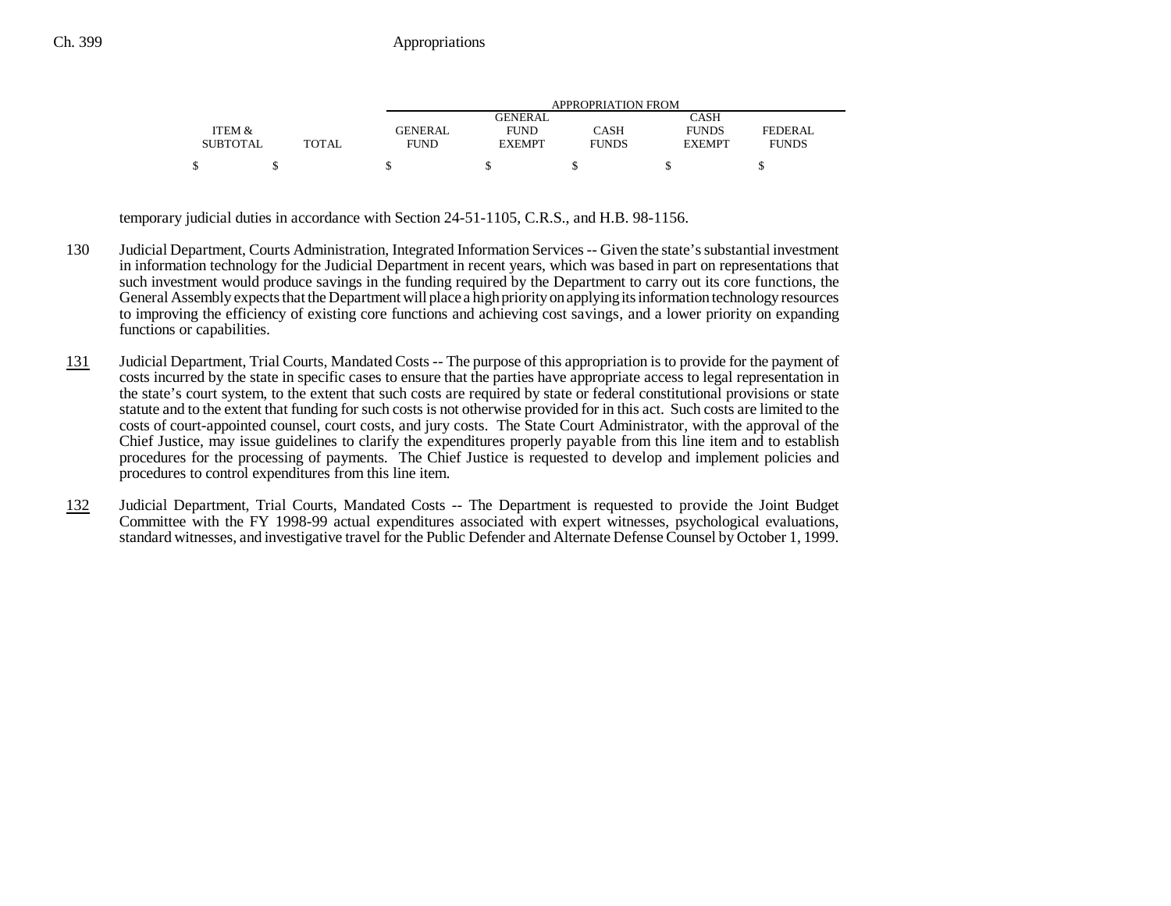|                 |              |                |               | APPROPRIATION FROM |               |              |
|-----------------|--------------|----------------|---------------|--------------------|---------------|--------------|
|                 |              |                | GENERAL       |                    | CASH          |              |
| ITEM &          |              | <b>GENERAL</b> | <b>FUND</b>   | CASH               | <b>FUNDS</b>  | FEDERAL      |
| <b>SUBTOTAL</b> | <b>TOTAL</b> | <b>FUND</b>    | <b>EXEMPT</b> | <b>FUNDS</b>       | <b>EXEMPT</b> | <b>FUNDS</b> |
|                 |              |                |               |                    |               |              |

temporary judicial duties in accordance with Section 24-51-1105, C.R.S., and H.B. 98-1156.

- 130 Judicial Department, Courts Administration, Integrated Information Services -- Given the state's substantial investment in information technology for the Judicial Department in recent years, which was based in part on representations that such investment would produce savings in the funding required by the Department to carry out its core functions, the General Assembly expects that the Department will place a high priority on applying its information technology resources to improving the efficiency of existing core functions and achieving cost savings, and a lower priority on expanding functions or capabilities.
- 131 Judicial Department, Trial Courts, Mandated Costs -- The purpose of this appropriation is to provide for the payment of costs incurred by the state in specific cases to ensure that the parties have appropriate access to legal representation in the state's court system, to the extent that such costs are required by state or federal constitutional provisions or state statute and to the extent that funding for such costs is not otherwise provided for in this act. Such costs are limited to the costs of court-appointed counsel, court costs, and jury costs. The State Court Administrator, with the approval of the Chief Justice, may issue guidelines to clarify the expenditures properly payable from this line item and to establish procedures for the processing of payments. The Chief Justice is requested to develop and implement policies and procedures to control expenditures from this line item.
- 132 Judicial Department, Trial Courts, Mandated Costs -- The Department is requested to provide the Joint Budget Committee with the FY 1998-99 actual expenditures associated with expert witnesses, psychological evaluations, standard witnesses, and investigative travel for the Public Defender and Alternate Defense Counsel by October 1, 1999.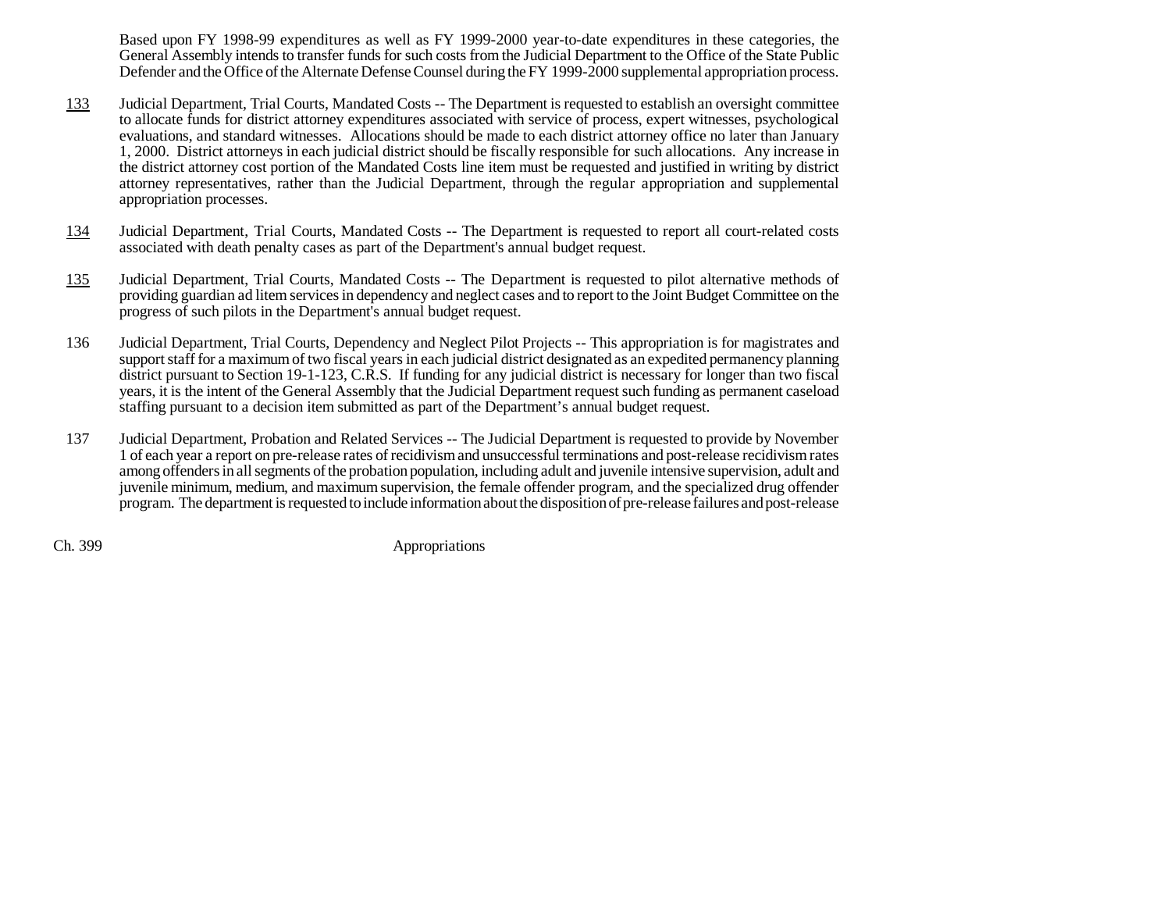Based upon FY 1998-99 expenditures as well as FY 1999-2000 year-to-date expenditures in these categories, the General Assembly intends to transfer funds for such costs from the Judicial Department to the Office of the State Public Defender and the Office of the Alternate Defense Counsel during the FY 1999-2000 supplemental appropriation process.

- 133 Judicial Department, Trial Courts, Mandated Costs -- The Department is requested to establish an oversight committee to allocate funds for district attorney expenditures associated with service of process, expert witnesses, psychological evaluations, and standard witnesses. Allocations should be made to each district attorney office no later than January 1, 2000. District attorneys in each judicial district should be fiscally responsible for such allocations. Any increase in the district attorney cost portion of the Mandated Costs line item must be requested and justified in writing by district attorney representatives, rather than the Judicial Department, through the regular appropriation and supplemental appropriation processes.
- 134 Judicial Department, Trial Courts, Mandated Costs -- The Department is requested to report all court-related costs associated with death penalty cases as part of the Department's annual budget request.
- 135 Judicial Department, Trial Courts, Mandated Costs -- The Department is requested to pilot alternative methods of providing guardian ad litem services in dependency and neglect cases and to report to the Joint Budget Committee on the progress of such pilots in the Department's annual budget request.
- 136 Judicial Department, Trial Courts, Dependency and Neglect Pilot Projects -- This appropriation is for magistrates and support staff for a maximum of two fiscal years in each judicial district designated as an expedited permanency planning district pursuant to Section 19-1-123, C.R.S. If funding for any judicial district is necessary for longer than two fiscal years, it is the intent of the General Assembly that the Judicial Department request such funding as permanent caseload staffing pursuant to a decision item submitted as part of the Department's annual budget request.
- 137 Judicial Department, Probation and Related Services -- The Judicial Department is requested to provide by November 1 of each year a report on pre-release rates of recidivism and unsuccessful terminations and post-release recidivism rates among offenders in all segments of the probation population, including adult and juvenile intensive supervision, adult and juvenile minimum, medium, and maximum supervision, the female offender program, and the specialized drug offender program. The department is requested to include information about the disposition of pre-release failures and post-release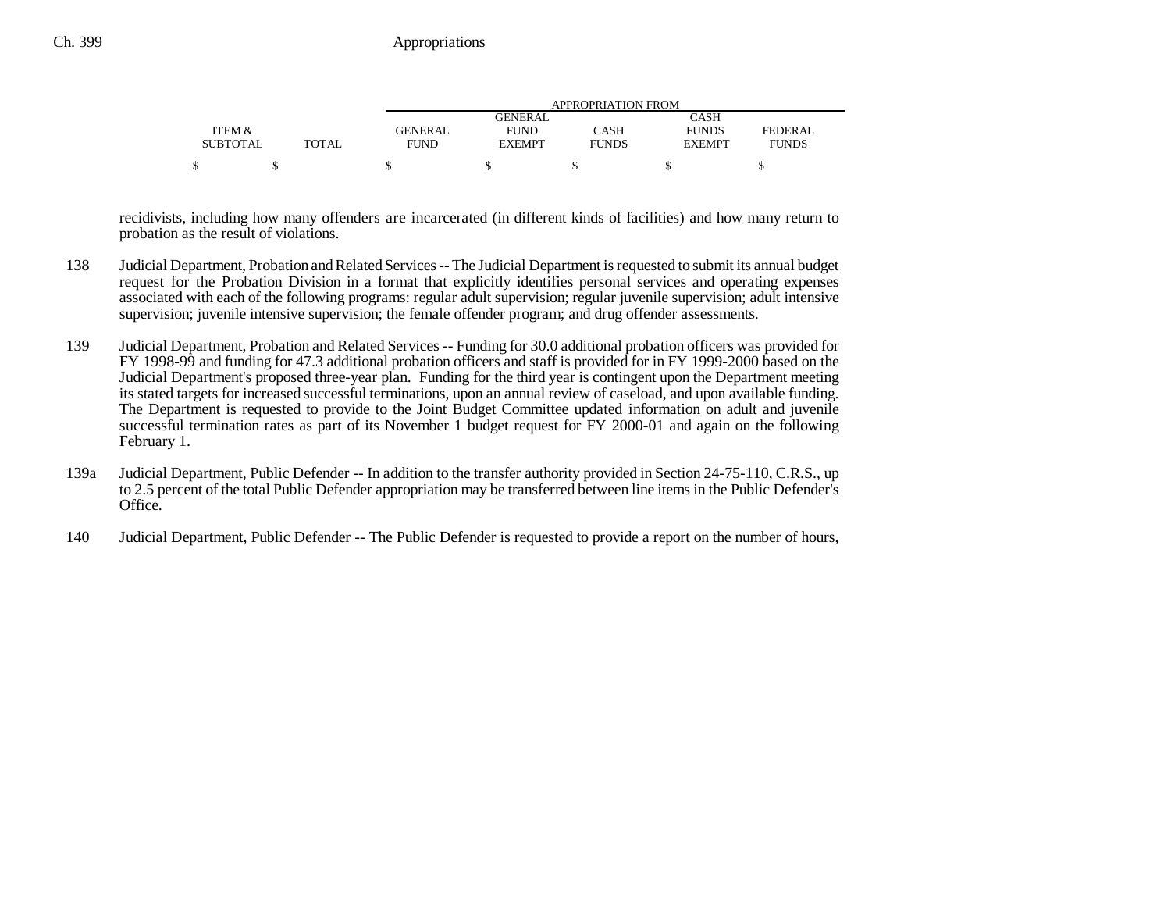|                 |       |             |               | APPROPRIATION FROM |               |              |
|-----------------|-------|-------------|---------------|--------------------|---------------|--------------|
|                 |       |             | GENERAL       |                    | CASH          |              |
| ITEM &          |       | GENERAL     | <b>FUND</b>   | CASH               | <b>FUNDS</b>  | FEDERAL      |
| <b>SUBTOTAL</b> | TOTAL | <b>FUND</b> | <b>EXEMPT</b> | <b>FUNDS</b>       | <b>EXEMPT</b> | <b>FUNDS</b> |
|                 |       |             |               |                    |               |              |

recidivists, including how many offenders are incarcerated (in different kinds of facilities) and how many return to probation as the result of violations.

- 138 Judicial Department, Probation and Related Services -- The Judicial Department is requested to submit its annual budget request for the Probation Division in a format that explicitly identifies personal services and operating expenses associated with each of the following programs: regular adult supervision; regular juvenile supervision; adult intensive supervision; juvenile intensive supervision; the female offender program; and drug offender assessments.
- 139 Judicial Department, Probation and Related Services -- Funding for 30.0 additional probation officers was provided for FY 1998-99 and funding for 47.3 additional probation officers and staff is provided for in FY 1999-2000 based on the Judicial Department's proposed three-year plan. Funding for the third year is contingent upon the Department meeting its stated targets for increased successful terminations, upon an annual review of caseload, and upon available funding. The Department is requested to provide to the Joint Budget Committee updated information on adult and juvenile successful termination rates as part of its November 1 budget request for FY 2000-01 and again on the following February 1.
- 139a Judicial Department, Public Defender -- In addition to the transfer authority provided in Section 24-75-110, C.R.S., up to 2.5 percent of the total Public Defender appropriation may be transferred between line items in the Public Defender's Office.
- 140 Judicial Department, Public Defender -- The Public Defender is requested to provide a report on the number of hours,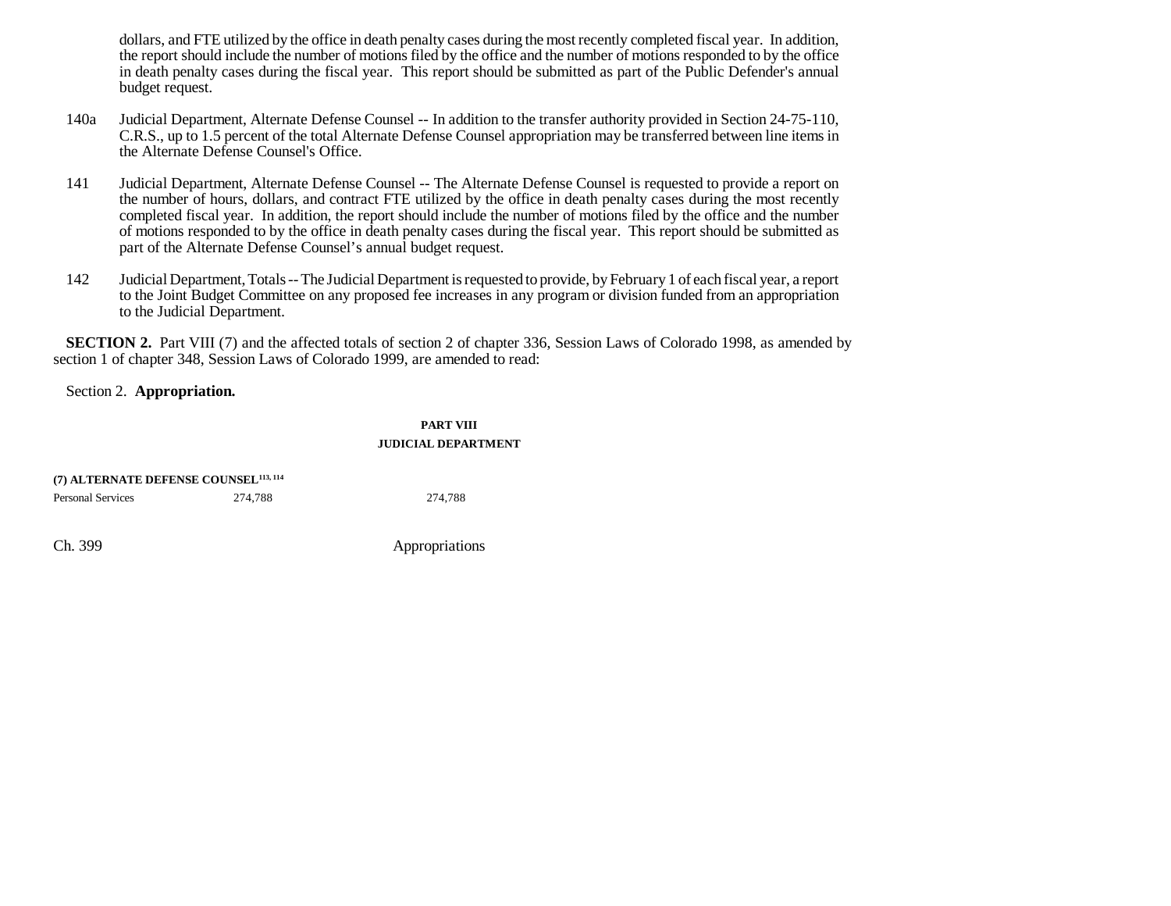dollars, and FTE utilized by the office in death penalty cases during the most recently completed fiscal year. In addition, the report should include the number of motions filed by the office and the number of motions responded to by the office in death penalty cases during the fiscal year. This report should be submitted as part of the Public Defender's annual budget request.

- 140a Judicial Department, Alternate Defense Counsel -- In addition to the transfer authority provided in Section 24-75-110, C.R.S., up to 1.5 percent of the total Alternate Defense Counsel appropriation may be transferred between line items in the Alternate Defense Counsel's Office.
- 141 Judicial Department, Alternate Defense Counsel -- The Alternate Defense Counsel is requested to provide a report on the number of hours, dollars, and contract FTE utilized by the office in death penalty cases during the most recently completed fiscal year. In addition, the report should include the number of motions filed by the office and the number of motions responded to by the office in death penalty cases during the fiscal year. This report should be submitted as part of the Alternate Defense Counsel's annual budget request.
- 142 Judicial Department, Totals -- The Judicial Department is requested to provide, by February 1 of each fiscal year, a report to the Joint Budget Committee on any proposed fee increases in any program or division funded from an appropriation to the Judicial Department.

**SECTION 2.** Part VIII (7) and the affected totals of section 2 of chapter 336, Session Laws of Colorado 1998, as amended by section 1 of chapter 348, Session Laws of Colorado 1999, are amended to read:

### Section 2. **Appropriation.**

### **PART VIIIJUDICIAL DEPARTMENT**

| (7) ALTERNATE DEFENSE COUNSEL <sup>113, 114</sup> |         |         |
|---------------------------------------------------|---------|---------|
| <b>Personal Services</b>                          | 274.788 | 274.788 |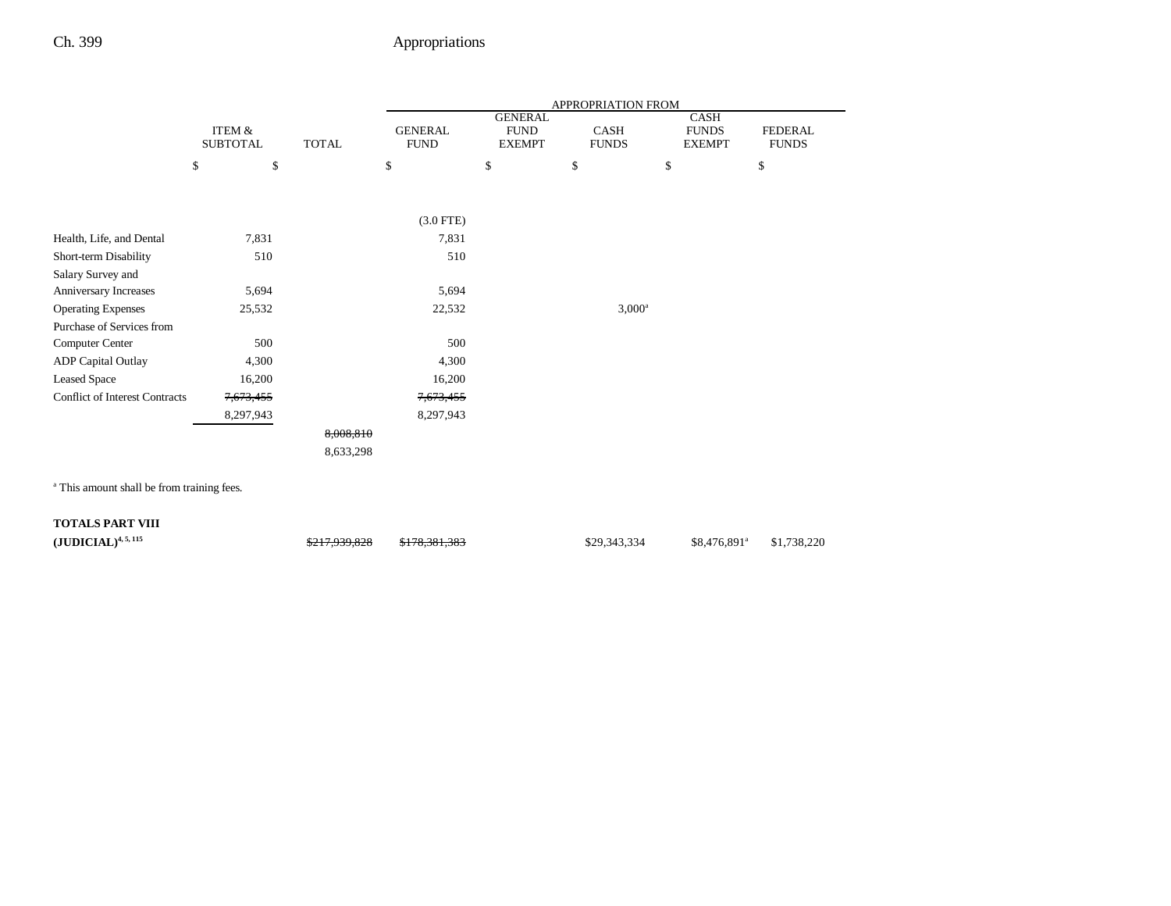|                                       |                           |              | APPROPRIATION FROM            |                                                |                      |                                       |                         |  |
|---------------------------------------|---------------------------|--------------|-------------------------------|------------------------------------------------|----------------------|---------------------------------------|-------------------------|--|
|                                       | ITEM &<br><b>SUBTOTAL</b> | <b>TOTAL</b> | <b>GENERAL</b><br><b>FUND</b> | <b>GENERAL</b><br><b>FUND</b><br><b>EXEMPT</b> | CASH<br><b>FUNDS</b> | CASH<br><b>FUNDS</b><br><b>EXEMPT</b> | FEDERAL<br><b>FUNDS</b> |  |
|                                       | \$<br>\$                  | \$           |                               | \$                                             | \$                   | \$                                    | \$                      |  |
|                                       |                           |              |                               |                                                |                      |                                       |                         |  |
|                                       |                           |              | $(3.0$ FTE)                   |                                                |                      |                                       |                         |  |
| Health, Life, and Dental              | 7,831                     |              | 7,831                         |                                                |                      |                                       |                         |  |
| Short-term Disability                 | 510                       |              | 510                           |                                                |                      |                                       |                         |  |
| Salary Survey and                     |                           |              |                               |                                                |                      |                                       |                         |  |
| Anniversary Increases                 | 5,694                     |              | 5,694                         |                                                |                      |                                       |                         |  |
| <b>Operating Expenses</b>             | 25,532                    |              | 22,532                        |                                                | $3,000^a$            |                                       |                         |  |
| Purchase of Services from             |                           |              |                               |                                                |                      |                                       |                         |  |
| Computer Center                       | 500                       |              | 500                           |                                                |                      |                                       |                         |  |
| ADP Capital Outlay                    | 4,300                     |              | 4,300                         |                                                |                      |                                       |                         |  |
| <b>Leased Space</b>                   | 16,200                    |              | 16,200                        |                                                |                      |                                       |                         |  |
| <b>Conflict of Interest Contracts</b> | 7,673,455                 |              | 7,673,455                     |                                                |                      |                                       |                         |  |
|                                       | 8,297,943                 |              | 8,297,943                     |                                                |                      |                                       |                         |  |
|                                       |                           | 8,008,810    |                               |                                                |                      |                                       |                         |  |
|                                       |                           | 8,633,298    |                               |                                                |                      |                                       |                         |  |

| $({\bf JUDICIAL})^{4,\,5,\,115}$ | <del>\$217,939,828</del> | <del>\$178,381,383</del> | \$29,343,334 | $$8,476,891^a$ $$1,738,220$ |  |
|----------------------------------|--------------------------|--------------------------|--------------|-----------------------------|--|
|                                  |                          |                          |              |                             |  |